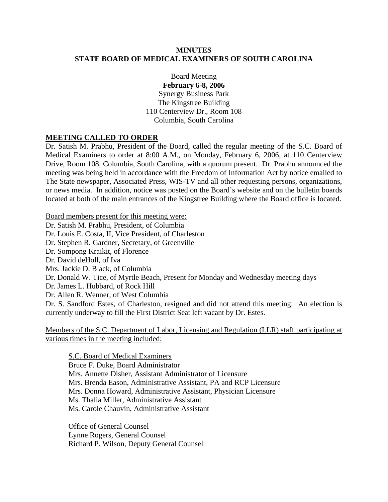## **MINUTES STATE BOARD OF MEDICAL EXAMINERS OF SOUTH CAROLINA**

Board Meeting **February 6-8, 2006**  Synergy Business Park The Kingstree Building 110 Centerview Dr., Room 108 Columbia, South Carolina

### **MEETING CALLED TO ORDER**

Dr. Satish M. Prabhu, President of the Board, called the regular meeting of the S.C. Board of Medical Examiners to order at 8:00 A.M., on Monday, February 6, 2006, at 110 Centerview Drive, Room 108, Columbia, South Carolina, with a quorum present. Dr. Prabhu announced the meeting was being held in accordance with the Freedom of Information Act by notice emailed to The State newspaper, Associated Press, WIS-TV and all other requesting persons, organizations, or news media. In addition, notice was posted on the Board's website and on the bulletin boards located at both of the main entrances of the Kingstree Building where the Board office is located.

Board members present for this meeting were:

Dr. Satish M. Prabhu, President, of Columbia Dr. Louis E. Costa, II, Vice President, of Charleston Dr. Stephen R. Gardner, Secretary, of Greenville Dr. Sompong Kraikit, of Florence Dr. David deHoll, of Iva Mrs. Jackie D. Black, of Columbia Dr. Donald W. Tice, of Myrtle Beach, Present for Monday and Wednesday meeting days Dr. James L. Hubbard, of Rock Hill Dr. Allen R. Wenner, of West Columbia Dr. S. Sandford Estes, of Charleston, resigned and did not attend this meeting. An election is currently underway to fill the First District Seat left vacant by Dr. Estes.

Members of the S.C. Department of Labor, Licensing and Regulation (LLR) staff participating at various times in the meeting included:

S.C. Board of Medical Examiners Bruce F. Duke, Board Administrator Mrs. Annette Disher, Assistant Administrator of Licensure Mrs. Brenda Eason, Administrative Assistant, PA and RCP Licensure Mrs. Donna Howard, Administrative Assistant, Physician Licensure Ms. Thalia Miller, Administrative Assistant Ms. Carole Chauvin, Administrative Assistant

 Office of General Counsel Lynne Rogers, General Counsel Richard P. Wilson, Deputy General Counsel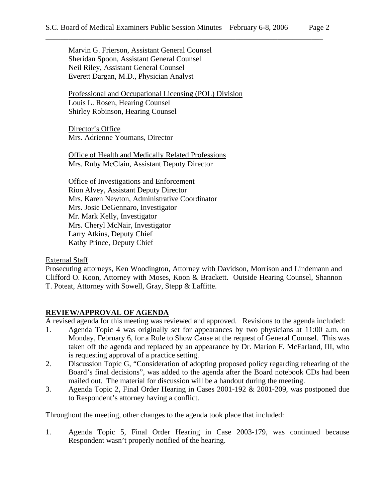Marvin G. Frierson, Assistant General Counsel Sheridan Spoon, Assistant General Counsel Neil Riley, Assistant General Counsel Everett Dargan, M.D., Physician Analyst

 Professional and Occupational Licensing (POL) Division Louis L. Rosen, Hearing Counsel Shirley Robinson, Hearing Counsel

Director's Office Mrs. Adrienne Youmans, Director

Office of Health and Medically Related Professions Mrs. Ruby McClain, Assistant Deputy Director

Office of Investigations and Enforcement Rion Alvey, Assistant Deputy Director Mrs. Karen Newton, Administrative Coordinator Mrs. Josie DeGennaro, Investigator Mr. Mark Kelly, Investigator Mrs. Cheryl McNair, Investigator Larry Atkins, Deputy Chief Kathy Prince, Deputy Chief

### External Staff

Prosecuting attorneys, Ken Woodington, Attorney with Davidson, Morrison and Lindemann and Clifford O. Koon, Attorney with Moses, Koon & Brackett. Outside Hearing Counsel, Shannon T. Poteat, Attorney with Sowell, Gray, Stepp & Laffitte.

### **REVIEW/APPROVAL OF AGENDA**

A revised agenda for this meeting was reviewed and approved. Revisions to the agenda included:

- 1. Agenda Topic 4 was originally set for appearances by two physicians at 11:00 a.m. on Monday, February 6, for a Rule to Show Cause at the request of General Counsel. This was taken off the agenda and replaced by an appearance by Dr. Marion F. McFarland, III, who is requesting approval of a practice setting.
- 2. Discussion Topic G, "Consideration of adopting proposed policy regarding rehearing of the Board's final decisions", was added to the agenda after the Board notebook CDs had been mailed out. The material for discussion will be a handout during the meeting.
- 3. Agenda Topic 2, Final Order Hearing in Cases 2001-192 & 2001-209, was postponed due to Respondent's attorney having a conflict.

Throughout the meeting, other changes to the agenda took place that included:

1. Agenda Topic 5, Final Order Hearing in Case 2003-179, was continued because Respondent wasn't properly notified of the hearing.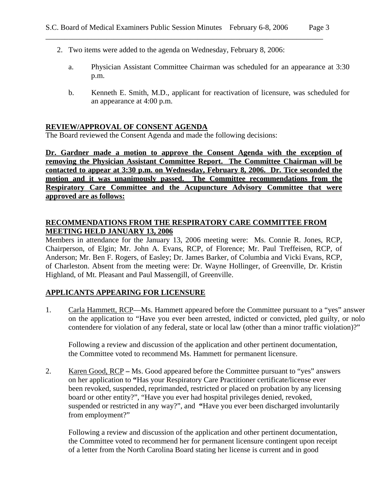- 2. Two items were added to the agenda on Wednesday, February 8, 2006:
	- a. Physician Assistant Committee Chairman was scheduled for an appearance at 3:30 p.m.
	- b. Kenneth E. Smith, M.D., applicant for reactivation of licensure, was scheduled for an appearance at 4:00 p.m.

#### **REVIEW/APPROVAL OF CONSENT AGENDA**

The Board reviewed the Consent Agenda and made the following decisions:

**Dr. Gardner made a motion to approve the Consent Agenda with the exception of removing the Physician Assistant Committee Report. The Committee Chairman will be contacted to appear at 3:30 p.m. on Wednesday, February 8, 2006. Dr. Tice seconded the motion and it was unanimously passed. The Committee recommendations from the Respiratory Care Committee and the Acupuncture Advisory Committee that were approved are as follows:**

### **RECOMMENDATIONS FROM THE RESPIRATORY CARE COMMITTEE FROM MEETING HELD JANUARY 13, 2006**

Members in attendance for the January 13, 2006 meeting were: Ms. Connie R. Jones, RCP, Chairperson, of Elgin; Mr. John A. Evans, RCP, of Florence; Mr. Paul Treffeisen, RCP, of Anderson; Mr. Ben F. Rogers, of Easley; Dr. James Barker, of Columbia and Vicki Evans, RCP, of Charleston. Absent from the meeting were: Dr. Wayne Hollinger, of Greenville, Dr. Kristin Highland, of Mt. Pleasant and Paul Massengill, of Greenville.

### **APPLICANTS APPEARING FOR LICENSURE**

1. Carla Hammett, RCP—Ms. Hammett appeared before the Committee pursuant to a "yes" answer on the application to "Have you ever been arrested, indicted or convicted, pled guilty, or nolo contendere for violation of any federal, state or local law (other than a minor traffic violation)?"

Following a review and discussion of the application and other pertinent documentation, the Committee voted to recommend Ms. Hammett for permanent licensure.

2. Karen Good, RCP **–** Ms. Good appeared before the Committee pursuant to "yes" answers on her application to **"**Has your Respiratory Care Practitioner certificate/license ever been revoked, suspended, reprimanded, restricted or placed on probation by any licensing board or other entity?", "Have you ever had hospital privileges denied, revoked, suspended or restricted in any way?", and **"**Have you ever been discharged involuntarily from employment?"

Following a review and discussion of the application and other pertinent documentation, the Committee voted to recommend her for permanent licensure contingent upon receipt of a letter from the North Carolina Board stating her license is current and in good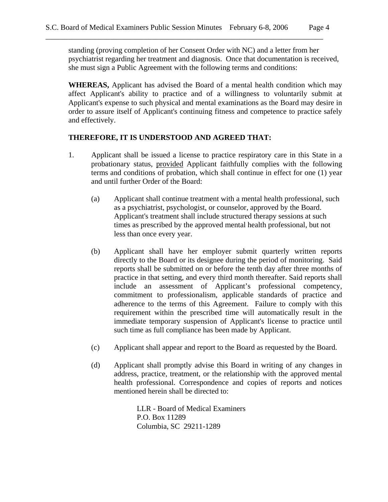standing (proving completion of her Consent Order with NC) and a letter from her psychiatrist regarding her treatment and diagnosis. Once that documentation is received, she must sign a Public Agreement with the following terms and conditions:

**WHEREAS,** Applicant has advised the Board of a mental health condition which may affect Applicant's ability to practice and of a willingness to voluntarily submit at Applicant's expense to such physical and mental examinations as the Board may desire in order to assure itself of Applicant's continuing fitness and competence to practice safely and effectively.

### **THEREFORE, IT IS UNDERSTOOD AND AGREED THAT:**

- 1. Applicant shall be issued a license to practice respiratory care in this State in a probationary status, provided Applicant faithfully complies with the following terms and conditions of probation, which shall continue in effect for one (1) year and until further Order of the Board:
	- (a) Applicant shall continue treatment with a mental health professional, such as a psychiatrist, psychologist, or counselor, approved by the Board. Applicant's treatment shall include structured therapy sessions at such times as prescribed by the approved mental health professional, but not less than once every year.
	- (b) Applicant shall have her employer submit quarterly written reports directly to the Board or its designee during the period of monitoring. Said reports shall be submitted on or before the tenth day after three months of practice in that setting, and every third month thereafter. Said reports shall include an assessment of Applicant's professional competency, commitment to professionalism, applicable standards of practice and adherence to the terms of this Agreement. Failure to comply with this requirement within the prescribed time will automatically result in the immediate temporary suspension of Applicant's license to practice until such time as full compliance has been made by Applicant.
	- (c) Applicant shall appear and report to the Board as requested by the Board.
	- (d) Applicant shall promptly advise this Board in writing of any changes in address, practice, treatment, or the relationship with the approved mental health professional. Correspondence and copies of reports and notices mentioned herein shall be directed to:

 LLR - Board of Medical Examiners P.O. Box 11289 Columbia, SC 29211-1289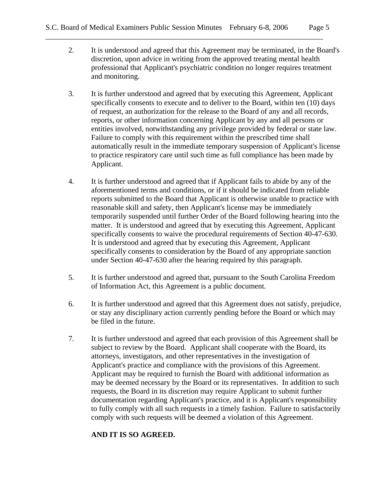- 2. It is understood and agreed that this Agreement may be terminated, in the Board's discretion, upon advice in writing from the approved treating mental health professional that Applicant's psychiatric condition no longer requires treatment and monitoring.
- 3. It is further understood and agreed that by executing this Agreement, Applicant specifically consents to execute and to deliver to the Board, within ten (10) days of request, an authorization for the release to the Board of any and all records, reports, or other information concerning Applicant by any and all persons or entities involved, notwithstanding any privilege provided by federal or state law. Failure to comply with this requirement within the prescribed time shall automatically result in the immediate temporary suspension of Applicant's license to practice respiratory care until such time as full compliance has been made by Applicant.
- 4. It is further understood and agreed that if Applicant fails to abide by any of the aforementioned terms and conditions, or if it should be indicated from reliable reports submitted to the Board that Applicant is otherwise unable to practice with reasonable skill and safety, then Applicant's license may be immediately temporarily suspended until further Order of the Board following hearing into the matter. It is understood and agreed that by executing this Agreement, Applicant specifically consents to waive the procedural requirements of Section 40-47-630. It is understood and agreed that by executing this Agreement, Applicant specifically consents to consideration by the Board of any appropriate sanction under Section 40-47-630 after the hearing required by this paragraph.
- 5. It is further understood and agreed that, pursuant to the South Carolina Freedom of Information Act, this Agreement is a public document.
- 6. It is further understood and agreed that this Agreement does not satisfy, prejudice, or stay any disciplinary action currently pending before the Board or which may be filed in the future.
- 7. It is further understood and agreed that each provision of this Agreement shall be subject to review by the Board. Applicant shall cooperate with the Board, its attorneys, investigators, and other representatives in the investigation of Applicant's practice and compliance with the provisions of this Agreement. Applicant may be required to furnish the Board with additional information as may be deemed necessary by the Board or its representatives. In addition to such requests, the Board in its discretion may require Applicant to submit further documentation regarding Applicant's practice, and it is Applicant's responsibility to fully comply with all such requests in a timely fashion. Failure to satisfactorily comply with such requests will be deemed a violation of this Agreement.

# **AND IT IS SO AGREED.**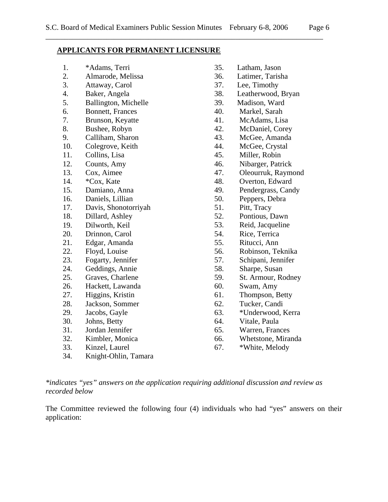#### **APPLICANTS FOR PERMANENT LICENSURE**

- 1. \*Adams, Terri
- 2. Almarode, Melissa
- 3. Attaway, Carol
- 4. Baker, Angela
- 5. Ballington, Michelle
- 6. Bonnett, Frances
- 7. Brunson, Keyatte
- 8. Bushee, Robyn
- 9. Calliham, Sharon
- 10. Colegrove, Keith
- 11. Collins, Lisa
- 12. Counts, Amy
- 13. Cox, Aimee
- 14. \*Cox, Kate
- 15. Damiano, Anna
- 16. Daniels, Lillian
- 17. Davis, Shonotorriyah
- 18. Dillard, Ashley
- 19. Dilworth, Keil
- 20. Drinnon, Carol
- 21. Edgar, Amanda
- 22. Floyd, Louise
- 23. Fogarty, Jennifer
- 24. Geddings, Annie
- 25. Graves, Charlene
- 26. Hackett, Lawanda
- 27. Higgins, Kristin
- 28. Jackson, Sommer
- 29. Jacobs, Gayle
- 30. Johns, Betty
- 31. Jordan Jennifer
- 32. Kimbler, Monica
- 33. Kinzel, Laurel
- 34. Knight-Ohlin, Tamara
- 35. Latham, Jason
- 36. Latimer, Tarisha
- 37. Lee, Timothy
- 38. Leatherwood, Bryan
- 39. Madison, Ward
- 40. Markel, Sarah
- 41. McAdams, Lisa
- 42. McDaniel, Corey
- 43. McGee, Amanda
- 44. McGee, Crystal
- 45. Miller, Robin
- 46. Nibarger, Patrick
- 47. Oleourruk, Raymond
- 48. Overton, Edward
- 49. Pendergrass, Candy
- 50. Peppers, Debra
- 51. Pitt, Tracy
- 52. Pontious, Dawn
- 53. Reid, Jacqueline
- 54. Rice, Terrica
- 55. Ritucci, Ann
- 56. Robinson, Teknika
- 57. Schipani, Jennifer
- 58. Sharpe, Susan
- 59. St. Armour, Rodney
- 60. Swam, Amy
- 61. Thompson, Betty
- 62. Tucker, Candi
- 63. \*Underwood, Kerra
- 64. Vitale, Paula
- 65. Warren, Frances
- 66. Whetstone, Miranda
- 67. \*White, Melody

*\*indicates "yes" answers on the application requiring additional discussion and review as recorded below* 

The Committee reviewed the following four (4) individuals who had "yes" answers on their application: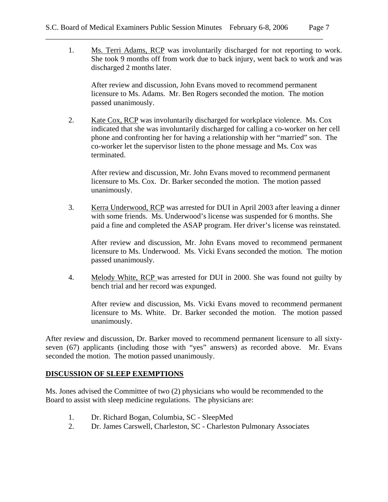1. Ms. Terri Adams, RCP was involuntarily discharged for not reporting to work. She took 9 months off from work due to back injury, went back to work and was discharged 2 months later.

After review and discussion, John Evans moved to recommend permanent licensure to Ms. Adams. Mr. Ben Rogers seconded the motion. The motion passed unanimously.

2. Kate Cox, RCP was involuntarily discharged for workplace violence. Ms. Cox indicated that she was involuntarily discharged for calling a co-worker on her cell phone and confronting her for having a relationship with her "married" son. The co-worker let the supervisor listen to the phone message and Ms. Cox was terminated.

After review and discussion, Mr. John Evans moved to recommend permanent licensure to Ms. Cox. Dr. Barker seconded the motion. The motion passed unanimously.

3. Kerra Underwood, RCP was arrested for DUI in April 2003 after leaving a dinner with some friends. Ms. Underwood's license was suspended for 6 months. She paid a fine and completed the ASAP program. Her driver's license was reinstated.

After review and discussion, Mr. John Evans moved to recommend permanent licensure to Ms. Underwood. Ms. Vicki Evans seconded the motion. The motion passed unanimously.

4. Melody White, RCP was arrested for DUI in 2000. She was found not guilty by bench trial and her record was expunged.

After review and discussion, Ms. Vicki Evans moved to recommend permanent licensure to Ms. White. Dr. Barker seconded the motion. The motion passed unanimously.

After review and discussion, Dr. Barker moved to recommend permanent licensure to all sixtyseven (67) applicants (including those with "yes" answers) as recorded above. Mr. Evans seconded the motion. The motion passed unanimously.

# **DISCUSSION OF SLEEP EXEMPTIONS**

Ms. Jones advised the Committee of two (2) physicians who would be recommended to the Board to assist with sleep medicine regulations. The physicians are:

- 1. Dr. Richard Bogan, Columbia, SC SleepMed
- 2. Dr. James Carswell, Charleston, SC Charleston Pulmonary Associates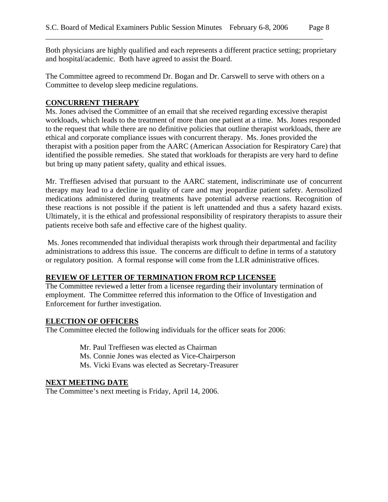Both physicians are highly qualified and each represents a different practice setting; proprietary and hospital/academic. Both have agreed to assist the Board.

The Committee agreed to recommend Dr. Bogan and Dr. Carswell to serve with others on a Committee to develop sleep medicine regulations.

### **CONCURRENT THERAPY**

Ms. Jones advised the Committee of an email that she received regarding excessive therapist workloads, which leads to the treatment of more than one patient at a time. Ms. Jones responded to the request that while there are no definitive policies that outline therapist workloads, there are ethical and corporate compliance issues with concurrent therapy. Ms. Jones provided the therapist with a position paper from the AARC (American Association for Respiratory Care) that identified the possible remedies. She stated that workloads for therapists are very hard to define but bring up many patient safety, quality and ethical issues.

Mr. Treffiesen advised that pursuant to the AARC statement, indiscriminate use of concurrent therapy may lead to a decline in quality of care and may jeopardize patient safety. Aerosolized medications administered during treatments have potential adverse reactions. Recognition of these reactions is not possible if the patient is left unattended and thus a safety hazard exists. Ultimately, it is the ethical and professional responsibility of respiratory therapists to assure their patients receive both safe and effective care of the highest quality.

 Ms. Jones recommended that individual therapists work through their departmental and facility administrations to address this issue. The concerns are difficult to define in terms of a statutory or regulatory position. A formal response will come from the LLR administrative offices.

### **REVIEW OF LETTER OF TERMINATION FROM RCP LICENSEE**

The Committee reviewed a letter from a licensee regarding their involuntary termination of employment. The Committee referred this information to the Office of Investigation and Enforcement for further investigation.

### **ELECTION OF OFFICERS**

The Committee elected the following individuals for the officer seats for 2006:

Mr. Paul Treffiesen was elected as Chairman Ms. Connie Jones was elected as Vice-Chairperson Ms. Vicki Evans was elected as Secretary-Treasurer

### **NEXT MEETING DATE**

The Committee's next meeting is Friday, April 14, 2006.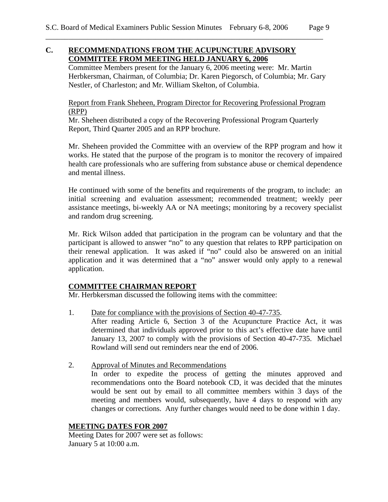### **C. RECOMMENDATIONS FROM THE ACUPUNCTURE ADVISORY COMMITTEE FROM MEETING HELD JANUARY 6, 2006**

Committee Members present for the January 6, 2006 meeting were: Mr. Martin Herbkersman, Chairman, of Columbia; Dr. Karen Piegorsch, of Columbia; Mr. Gary Nestler, of Charleston; and Mr. William Skelton, of Columbia.

Report from Frank Sheheen, Program Director for Recovering Professional Program (RPP)

Mr. Sheheen distributed a copy of the Recovering Professional Program Quarterly Report, Third Quarter 2005 and an RPP brochure.

Mr. Sheheen provided the Committee with an overview of the RPP program and how it works. He stated that the purpose of the program is to monitor the recovery of impaired health care professionals who are suffering from substance abuse or chemical dependence and mental illness.

He continued with some of the benefits and requirements of the program, to include: an initial screening and evaluation assessment; recommended treatment; weekly peer assistance meetings, bi-weekly AA or NA meetings; monitoring by a recovery specialist and random drug screening.

Mr. Rick Wilson added that participation in the program can be voluntary and that the participant is allowed to answer "no" to any question that relates to RPP participation on their renewal application. It was asked if "no" could also be answered on an initial application and it was determined that a "no" answer would only apply to a renewal application.

# **COMMITTEE CHAIRMAN REPORT**

Mr. Herbkersman discussed the following items with the committee:

- 1. Date for compliance with the provisions of Section 40-47-735.
	- After reading Article 6, Section 3 of the Acupuncture Practice Act, it was determined that individuals approved prior to this act's effective date have until January 13, 2007 to comply with the provisions of Section 40-47-735. Michael Rowland will send out reminders near the end of 2006.
- 2. Approval of Minutes and Recommendations In order to expedite the process of getting the minutes approved and

recommendations onto the Board notebook CD, it was decided that the minutes would be sent out by email to all committee members within 3 days of the meeting and members would, subsequently, have 4 days to respond with any changes or corrections. Any further changes would need to be done within 1 day.

# **MEETING DATES FOR 2007**

Meeting Dates for 2007 were set as follows: January 5 at 10:00 a.m.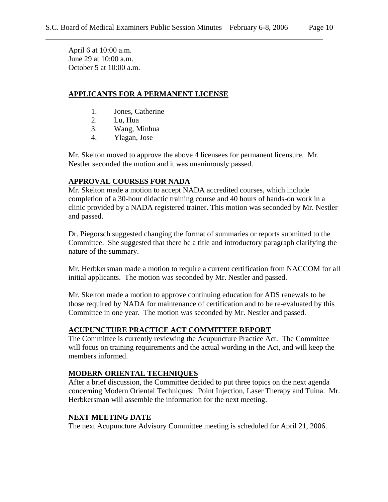April 6 at 10:00 a.m. June 29 at 10:00 a.m. October 5 at 10:00 a.m.

### **APPLICANTS FOR A PERMANENT LICENSE**

- 1. Jones, Catherine
- 2. Lu, Hua
- 3. Wang, Minhua
- 4. Ylagan, Jose

Mr. Skelton moved to approve the above 4 licensees for permanent licensure. Mr. Nestler seconded the motion and it was unanimously passed.

### **APPROVAL COURSES FOR NADA**

Mr. Skelton made a motion to accept NADA accredited courses, which include completion of a 30-hour didactic training course and 40 hours of hands-on work in a clinic provided by a NADA registered trainer. This motion was seconded by Mr. Nestler and passed.

Dr. Piegorsch suggested changing the format of summaries or reports submitted to the Committee. She suggested that there be a title and introductory paragraph clarifying the nature of the summary.

Mr. Herbkersman made a motion to require a current certification from NACCOM for all initial applicants. The motion was seconded by Mr. Nestler and passed.

Mr. Skelton made a motion to approve continuing education for ADS renewals to be those required by NADA for maintenance of certification and to be re-evaluated by this Committee in one year. The motion was seconded by Mr. Nestler and passed.

### **ACUPUNCTURE PRACTICE ACT COMMITTEE REPORT**

The Committee is currently reviewing the Acupuncture Practice Act. The Committee will focus on training requirements and the actual wording in the Act, and will keep the members informed.

### **MODERN ORIENTAL TECHNIQUES**

 After a brief discussion, the Committee decided to put three topics on the next agenda concerning Modern Oriental Techniques: Point Injection, Laser Therapy and Tuina. Mr. Herbkersman will assemble the information for the next meeting.

### **NEXT MEETING DATE**

The next Acupuncture Advisory Committee meeting is scheduled for April 21, 2006.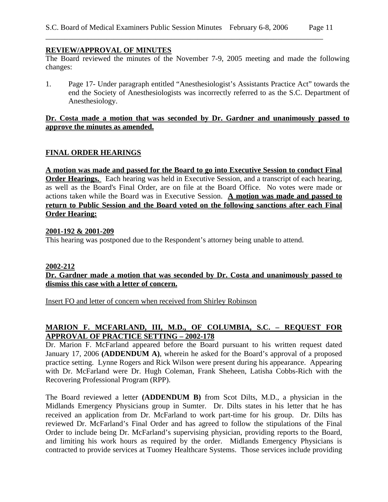#### **REVIEW/APPROVAL OF MINUTES**

The Board reviewed the minutes of the November 7-9, 2005 meeting and made the following changes:

1. Page 17- Under paragraph entitled "Anesthesiologist's Assistants Practice Act" towards the end the Society of Anesthesiologists was incorrectly referred to as the S.C. Department of Anesthesiology.

#### **Dr. Costa made a motion that was seconded by Dr. Gardner and unanimously passed to approve the minutes as amended.**

### **FINAL ORDER HEARINGS**

**A motion was made and passed for the Board to go into Executive Session to conduct Final Order Hearings.** Each hearing was held in Executive Session, and a transcript of each hearing, as well as the Board's Final Order, are on file at the Board Office. No votes were made or actions taken while the Board was in Executive Session. **A motion was made and passed to return to Public Session and the Board voted on the following sanctions after each Final Order Hearing:**

#### **2001-192 & 2001-209**

This hearing was postponed due to the Respondent's attorney being unable to attend.

#### **2002-212**

### **Dr. Gardner made a motion that was seconded by Dr. Costa and unanimously passed to dismiss this case with a letter of concern.**

Insert FO and letter of concern when received from Shirley Robinson

# **MARION F. MCFARLAND, III, M.D., OF COLUMBIA, S.C. – REQUEST FOR APPROVAL OF PRACTICE SETTING – 2002-178**

Dr. Marion F. McFarland appeared before the Board pursuant to his written request dated January 17, 2006 **(ADDENDUM A)**, wherein he asked for the Board's approval of a proposed practice setting. Lynne Rogers and Rick Wilson were present during his appearance. Appearing with Dr. McFarland were Dr. Hugh Coleman, Frank Sheheen, Latisha Cobbs-Rich with the Recovering Professional Program (RPP).

The Board reviewed a letter **(ADDENDUM B)** from Scot Dilts, M.D., a physician in the Midlands Emergency Physicians group in Sumter. Dr. Dilts states in his letter that he has received an application from Dr. McFarland to work part-time for his group. Dr. Dilts has reviewed Dr. McFarland's Final Order and has agreed to follow the stipulations of the Final Order to include being Dr. McFarland's supervising physician, providing reports to the Board, and limiting his work hours as required by the order. Midlands Emergency Physicians is contracted to provide services at Tuomey Healthcare Systems. Those services include providing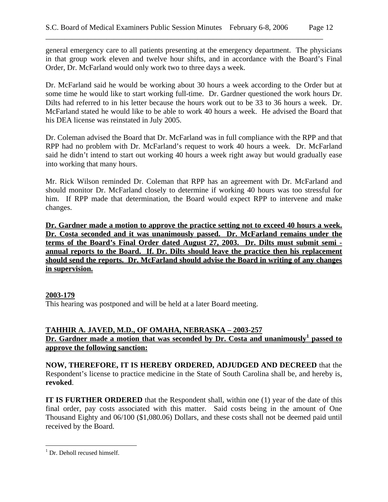general emergency care to all patients presenting at the emergency department. The physicians in that group work eleven and twelve hour shifts, and in accordance with the Board's Final Order, Dr. McFarland would only work two to three days a week.

Dr. McFarland said he would be working about 30 hours a week according to the Order but at some time he would like to start working full-time. Dr. Gardner questioned the work hours Dr. Dilts had referred to in his letter because the hours work out to be 33 to 36 hours a week. Dr. McFarland stated he would like to be able to work 40 hours a week. He advised the Board that his DEA license was reinstated in July 2005.

Dr. Coleman advised the Board that Dr. McFarland was in full compliance with the RPP and that RPP had no problem with Dr. McFarland's request to work 40 hours a week. Dr. McFarland said he didn't intend to start out working 40 hours a week right away but would gradually ease into working that many hours.

Mr. Rick Wilson reminded Dr. Coleman that RPP has an agreement with Dr. McFarland and should monitor Dr. McFarland closely to determine if working 40 hours was too stressful for him. If RPP made that determination, the Board would expect RPP to intervene and make changes.

**Dr. Gardner made a motion to approve the practice setting not to exceed 40 hours a week. Dr. Costa seconded and it was unanimously passed. Dr. McFarland remains under the terms of the Board's Final Order dated August 27, 2003. Dr. Dilts must submit semi annual reports to the Board. If. Dr. Dilts should leave the practice then his replacement should send the reports. Dr. McFarland should advise the Board in writing of any changes in supervision.**

# **2003-179**

This hearing was postponed and will be held at a later Board meeting.

# **TAHHIR A. JAVED, M.D., OF OMAHA, NEBRASKA – 2003-257 Dr. Gardner made a motion that was seconded by Dr. Costa and unanimously<sup>1</sup> passed to approve the following sanction:**

**NOW, THEREFORE, IT IS HEREBY ORDERED, ADJUDGED AND DECREED** that the Respondent's license to practice medicine in the State of South Carolina shall be, and hereby is, **revoked**.

**IT IS FURTHER ORDERED** that the Respondent shall, within one (1) year of the date of this final order, pay costs associated with this matter. Said costs being in the amount of One Thousand Eighty and 06/100 (\$1,080.06) Dollars, and these costs shall not be deemed paid until received by the Board.

<sup>&</sup>lt;sup>1</sup> Dr. Deholl recused himself.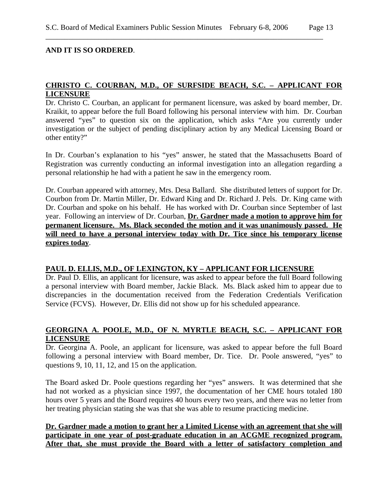### **AND IT IS SO ORDERED**.

### **CHRISTO C. COURBAN, M.D., OF SURFSIDE BEACH, S.C. – APPLICANT FOR LICENSURE**

Dr. Christo C. Courban, an applicant for permanent licensure, was asked by board member, Dr. Kraikit, to appear before the full Board following his personal interview with him. Dr. Courban answered "yes" to question six on the application, which asks "Are you currently under investigation or the subject of pending disciplinary action by any Medical Licensing Board or other entity?"

In Dr. Courban's explanation to his "yes" answer, he stated that the Massachusetts Board of Registration was currently conducting an informal investigation into an allegation regarding a personal relationship he had with a patient he saw in the emergency room.

Dr. Courban appeared with attorney, Mrs. Desa Ballard. She distributed letters of support for Dr. Courbon from Dr. Martin Miller, Dr. Edward King and Dr. Richard J. Pels. Dr. King came with Dr. Courban and spoke on his behalf. He has worked with Dr. Courban since September of last year. Following an interview of Dr. Courban, **Dr. Gardner made a motion to approve him for permanent licensure. Ms. Black seconded the motion and it was unanimously passed. He will need to have a personal interview today with Dr. Tice since his temporary license expires today**.

### **PAUL D. ELLIS, M.D., OF LEXINGTON, KY – APPLICANT FOR LICENSURE**

Dr. Paul D. Ellis, an applicant for licensure, was asked to appear before the full Board following a personal interview with Board member, Jackie Black. Ms. Black asked him to appear due to discrepancies in the documentation received from the Federation Credentials Verification Service (FCVS). However, Dr. Ellis did not show up for his scheduled appearance.

### **GEORGINA A. POOLE, M.D., OF N. MYRTLE BEACH, S.C. – APPLICANT FOR LICENSURE**

Dr. Georgina A. Poole, an applicant for licensure, was asked to appear before the full Board following a personal interview with Board member, Dr. Tice. Dr. Poole answered, "yes" to questions 9, 10, 11, 12, and 15 on the application.

The Board asked Dr. Poole questions regarding her "yes" answers. It was determined that she had not worked as a physician since 1997, the documentation of her CME hours totaled 180 hours over 5 years and the Board requires 40 hours every two years, and there was no letter from her treating physician stating she was that she was able to resume practicing medicine.

## **Dr. Gardner made a motion to grant her a Limited License with an agreement that she will participate in one year of post-graduate education in an ACGME recognized program. After that, she must provide the Board with a letter of satisfactory completion and**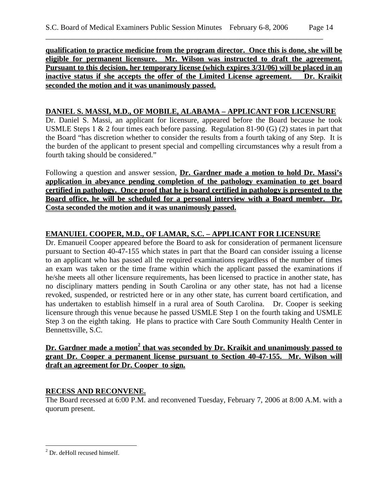**qualification to practice medicine from the program director. Once this is done, she will be eligible for permanent licensure. Mr. Wilson was instructed to draft the agreement. Pursuant to this decision, her temporary license (which expires 3/31/06) will be placed in an inactive status if she accepts the offer of the Limited License agreement. Dr. Kraikit seconded the motion and it was unanimously passed.**

# **DANIEL S. MASSI, M.D., OF MOBILE, ALABAMA – APPLICANT FOR LICENSURE**

Dr. Daniel S. Massi, an applicant for licensure, appeared before the Board because he took USMLE Steps 1  $\&$  2 four times each before passing. Regulation 81-90 (G) (2) states in part that the Board "has discretion whether to consider the results from a fourth taking of any Step. It is the burden of the applicant to present special and compelling circumstances why a result from a fourth taking should be considered."

Following a question and answer session, **Dr. Gardner made a motion to hold Dr. Massi's application in abeyance pending completion of the pathology examination to get board certified in pathology. Once proof that he is board certified in pathology is presented to the Board office, he will be scheduled for a personal interview with a Board member. Dr. Costa seconded the motion and it was unanimously passed.**

# **EMANUIEL COOPER, M.D., OF LAMAR, S.C. – APPLICANT FOR LICENSURE**

Dr. Emanueil Cooper appeared before the Board to ask for consideration of permanent licensure pursuant to Section 40-47-155 which states in part that the Board can consider issuing a license to an applicant who has passed all the required examinations regardless of the number of times an exam was taken or the time frame within which the applicant passed the examinations if he/she meets all other licensure requirements, has been licensed to practice in another state, has no disciplinary matters pending in South Carolina or any other state, has not had a license revoked, suspended, or restricted here or in any other state, has current board certification, and has undertaken to establish himself in a rural area of South Carolina. Dr. Cooper is seeking licensure through this venue because he passed USMLE Step 1 on the fourth taking and USMLE Step 3 on the eighth taking. He plans to practice with Care South Community Health Center in Bennettsville, S.C.

# <u>Dr. Gardner made a motion<sup>2</sup> that was seconded by Dr. Kraikit and unanimously passed to</u> **grant Dr. Cooper a permanent license pursuant to Section 40-47-155. Mr. Wilson will draft an agreement for Dr. Cooper to sign.**

# **RECESS AND RECONVENE.**

The Board recessed at 6:00 P.M. and reconvened Tuesday, February 7, 2006 at 8:00 A.M. with a quorum present.

 2 Dr. deHoll recused himself.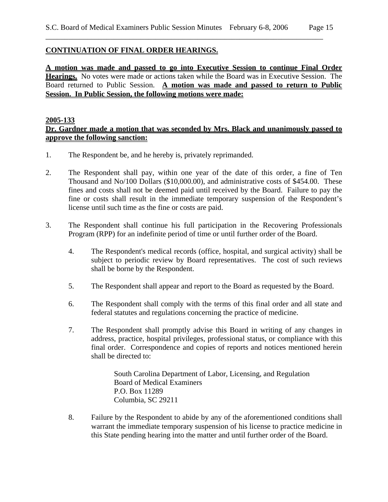## **CONTINUATION OF FINAL ORDER HEARINGS.**

**A motion was made and passed to go into Executive Session to continue Final Order Hearings.** No votes were made or actions taken while the Board was in Executive Session. The Board returned to Public Session. **A motion was made and passed to return to Public Session. In Public Session, the following motions were made:**

### **2005-133 Dr. Gardner made a motion that was seconded by Mrs. Black and unanimously passed to approve the following sanction:**

- 1. The Respondent be, and he hereby is, privately reprimanded.
- 2. The Respondent shall pay, within one year of the date of this order, a fine of Ten Thousand and No/100 Dollars (\$10,000.00), and administrative costs of \$454.00. These fines and costs shall not be deemed paid until received by the Board. Failure to pay the fine or costs shall result in the immediate temporary suspension of the Respondent's license until such time as the fine or costs are paid.
- 3. The Respondent shall continue his full participation in the Recovering Professionals Program (RPP) for an indefinite period of time or until further order of the Board.
	- 4. The Respondent's medical records (office, hospital, and surgical activity) shall be subject to periodic review by Board representatives. The cost of such reviews shall be borne by the Respondent.
	- 5. The Respondent shall appear and report to the Board as requested by the Board.
	- 6. The Respondent shall comply with the terms of this final order and all state and federal statutes and regulations concerning the practice of medicine.
	- 7. The Respondent shall promptly advise this Board in writing of any changes in address, practice, hospital privileges, professional status, or compliance with this final order. Correspondence and copies of reports and notices mentioned herein shall be directed to:

South Carolina Department of Labor, Licensing, and Regulation Board of Medical Examiners P.O. Box 11289 Columbia, SC 29211

8. Failure by the Respondent to abide by any of the aforementioned conditions shall warrant the immediate temporary suspension of his license to practice medicine in this State pending hearing into the matter and until further order of the Board.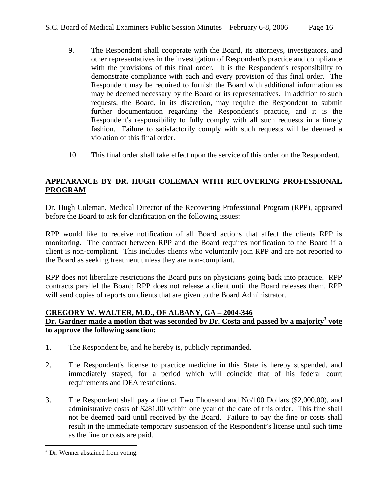- 9. The Respondent shall cooperate with the Board, its attorneys, investigators, and other representatives in the investigation of Respondent's practice and compliance with the provisions of this final order. It is the Respondent's responsibility to demonstrate compliance with each and every provision of this final order. The Respondent may be required to furnish the Board with additional information as may be deemed necessary by the Board or its representatives. In addition to such requests, the Board, in its discretion, may require the Respondent to submit further documentation regarding the Respondent's practice, and it is the Respondent's responsibility to fully comply with all such requests in a timely fashion. Failure to satisfactorily comply with such requests will be deemed a violation of this final order.
- 10. This final order shall take effect upon the service of this order on the Respondent.

# **APPEARANCE BY DR. HUGH COLEMAN WITH RECOVERING PROFESSIONAL PROGRAM**

Dr. Hugh Coleman, Medical Director of the Recovering Professional Program (RPP), appeared before the Board to ask for clarification on the following issues:

RPP would like to receive notification of all Board actions that affect the clients RPP is monitoring. The contract between RPP and the Board requires notification to the Board if a client is non-compliant. This includes clients who voluntarily join RPP and are not reported to the Board as seeking treatment unless they are non-compliant.

RPP does not liberalize restrictions the Board puts on physicians going back into practice. RPP contracts parallel the Board; RPP does not release a client until the Board releases them. RPP will send copies of reports on clients that are given to the Board Administrator.

### **GREGORY W. WALTER, M.D., OF ALBANY, GA – 2004-346** Dr. Gardner made a motion that was seconded by Dr. Costa and passed by a majority<sup>3</sup> vote **to approve the following sanction:**

- 1. The Respondent be, and he hereby is, publicly reprimanded.
- 2. The Respondent's license to practice medicine in this State is hereby suspended, and immediately stayed, for a period which will coincide that of his federal court requirements and DEA restrictions.
- 3. The Respondent shall pay a fine of Two Thousand and No/100 Dollars (\$2,000.00), and administrative costs of \$281.00 within one year of the date of this order. This fine shall not be deemed paid until received by the Board. Failure to pay the fine or costs shall result in the immediate temporary suspension of the Respondent's license until such time as the fine or costs are paid.

<sup>&</sup>lt;sup>3</sup> Dr. Wenner abstained from voting.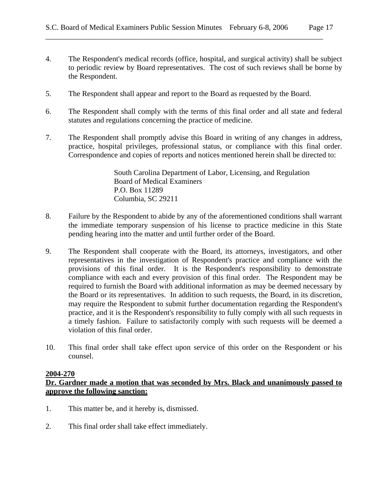- 4. The Respondent's medical records (office, hospital, and surgical activity) shall be subject to periodic review by Board representatives. The cost of such reviews shall be borne by the Respondent.
- 5. The Respondent shall appear and report to the Board as requested by the Board.
- 6. The Respondent shall comply with the terms of this final order and all state and federal statutes and regulations concerning the practice of medicine.
- 7. The Respondent shall promptly advise this Board in writing of any changes in address, practice, hospital privileges, professional status, or compliance with this final order. Correspondence and copies of reports and notices mentioned herein shall be directed to:

South Carolina Department of Labor, Licensing, and Regulation Board of Medical Examiners P.O. Box 11289 Columbia, SC 29211

- 8. Failure by the Respondent to abide by any of the aforementioned conditions shall warrant the immediate temporary suspension of his license to practice medicine in this State pending hearing into the matter and until further order of the Board.
- 9. The Respondent shall cooperate with the Board, its attorneys, investigators, and other representatives in the investigation of Respondent's practice and compliance with the provisions of this final order. It is the Respondent's responsibility to demonstrate compliance with each and every provision of this final order. The Respondent may be required to furnish the Board with additional information as may be deemed necessary by the Board or its representatives. In addition to such requests, the Board, in its discretion, may require the Respondent to submit further documentation regarding the Respondent's practice, and it is the Respondent's responsibility to fully comply with all such requests in a timely fashion. Failure to satisfactorily comply with such requests will be deemed a violation of this final order.
- 10. This final order shall take effect upon service of this order on the Respondent or his counsel.

#### **2004-270**

**Dr. Gardner made a motion that was seconded by Mrs. Black and unanimously passed to approve the following sanction:**

- 1. This matter be, and it hereby is, dismissed.
- 2. This final order shall take effect immediately.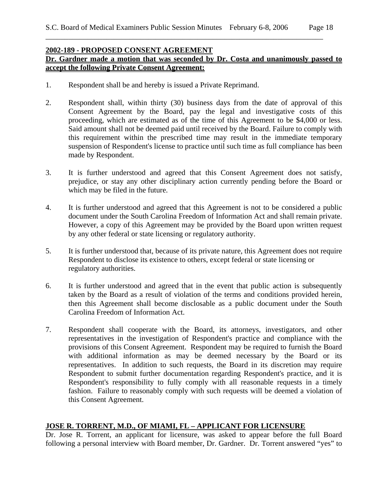# **2002-189 - PROPOSED CONSENT AGREEMENT Dr. Gardner made a motion that was seconded by Dr. Costa and unanimously passed to accept the following Private Consent Agreement:**

- 1. Respondent shall be and hereby is issued a Private Reprimand.
- 2. Respondent shall, within thirty (30) business days from the date of approval of this Consent Agreement by the Board, pay the legal and investigative costs of this proceeding, which are estimated as of the time of this Agreement to be \$4,000 or less. Said amount shall not be deemed paid until received by the Board. Failure to comply with this requirement within the prescribed time may result in the immediate temporary suspension of Respondent's license to practice until such time as full compliance has been made by Respondent.
- 3. It is further understood and agreed that this Consent Agreement does not satisfy, prejudice, or stay any other disciplinary action currently pending before the Board or which may be filed in the future.
- 4. It is further understood and agreed that this Agreement is not to be considered a public document under the South Carolina Freedom of Information Act and shall remain private. However, a copy of this Agreement may be provided by the Board upon written request by any other federal or state licensing or regulatory authority.
- 5. It is further understood that, because of its private nature, this Agreement does not require Respondent to disclose its existence to others, except federal or state licensing or regulatory authorities.
- 6. It is further understood and agreed that in the event that public action is subsequently taken by the Board as a result of violation of the terms and conditions provided herein, then this Agreement shall become disclosable as a public document under the South Carolina Freedom of Information Act.
- 7. Respondent shall cooperate with the Board, its attorneys, investigators, and other representatives in the investigation of Respondent's practice and compliance with the provisions of this Consent Agreement. Respondent may be required to furnish the Board with additional information as may be deemed necessary by the Board or its representatives. In addition to such requests, the Board in its discretion may require Respondent to submit further documentation regarding Respondent's practice, and it is Respondent's responsibility to fully comply with all reasonable requests in a timely fashion. Failure to reasonably comply with such requests will be deemed a violation of this Consent Agreement.

# **JOSE R. TORRENT, M.D., OF MIAMI, FL – APPLICANT FOR LICENSURE**

Dr. Jose R. Torrent, an applicant for licensure, was asked to appear before the full Board following a personal interview with Board member, Dr. Gardner. Dr. Torrent answered "yes" to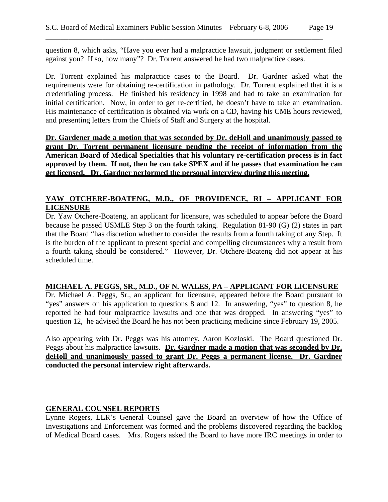question 8, which asks, "Have you ever had a malpractice lawsuit, judgment or settlement filed against you? If so, how many"? Dr. Torrent answered he had two malpractice cases.

Dr. Torrent explained his malpractice cases to the Board. Dr. Gardner asked what the requirements were for obtaining re-certification in pathology. Dr. Torrent explained that it is a credentialing process. He finished his residency in 1998 and had to take an examination for initial certification. Now, in order to get re-certified, he doesn't have to take an examination. His maintenance of certification is obtained via work on a CD, having his CME hours reviewed, and presenting letters from the Chiefs of Staff and Surgery at the hospital.

**Dr. Gardener made a motion that was seconded by Dr. deHoll and unanimously passed to grant Dr. Torrent permanent licensure pending the receipt of information from the American Board of Medical Specialties that his voluntary re-certification process is in fact approved by them. If not, then he can take SPEX and if he passes that examination he can get licensed. Dr. Gardner performed the personal interview during this meeting.**

### **YAW OTCHERE-BOATENG, M.D., OF PROVIDENCE, RI – APPLICANT FOR LICENSURE**

Dr. Yaw Otchere-Boateng, an applicant for licensure, was scheduled to appear before the Board because he passed USMLE Step 3 on the fourth taking. Regulation 81-90 (G) (2) states in part that the Board "has discretion whether to consider the results from a fourth taking of any Step. It is the burden of the applicant to present special and compelling circumstances why a result from a fourth taking should be considered." However, Dr. Otchere-Boateng did not appear at his scheduled time.

#### **MICHAEL A. PEGGS, SR., M.D., OF N. WALES, PA – APPLICANT FOR LICENSURE**

Dr. Michael A. Peggs, Sr., an applicant for licensure, appeared before the Board pursuant to "yes" answers on his application to questions 8 and 12. In answering, "yes" to question 8, he reported he had four malpractice lawsuits and one that was dropped. In answering "yes" to question 12, he advised the Board he has not been practicing medicine since February 19, 2005.

Also appearing with Dr. Peggs was his attorney, Aaron Kozloski. The Board questioned Dr. Peggs about his malpractice lawsuits. **Dr. Gardner made a motion that was seconded by Dr. deHoll and unanimously passed to grant Dr. Peggs a permanent license. Dr. Gardner conducted the personal interview right afterwards.**

### **GENERAL COUNSEL REPORTS**

Lynne Rogers, LLR's General Counsel gave the Board an overview of how the Office of Investigations and Enforcement was formed and the problems discovered regarding the backlog of Medical Board cases. Mrs. Rogers asked the Board to have more IRC meetings in order to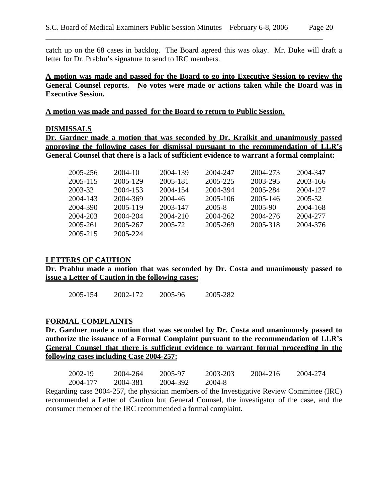catch up on the 68 cases in backlog. The Board agreed this was okay. Mr. Duke will draft a letter for Dr. Prabhu's signature to send to IRC members.

### **A motion was made and passed for the Board to go into Executive Session to review the General Counsel reports. No votes were made or actions taken while the Board was in Executive Session.**

**A motion was made and passed for the Board to return to Public Session.**

#### **DISMISSALS**

**Dr. Gardner made a motion that was seconded by Dr. Kraikit and unanimously passed approving the following cases for dismissal pursuant to the recommendation of LLR's General Counsel that there is a lack of sufficient evidence to warrant a formal complaint:** 

| 2005-256 | $2004 - 10$ | 2004-139 | 2004-247 | 2004-273 | 2004-347 |
|----------|-------------|----------|----------|----------|----------|
| 2005-115 | 2005-129    | 2005-181 | 2005-225 | 2003-295 | 2003-166 |
| 2003-32  | 2004-153    | 2004-154 | 2004-394 | 2005-284 | 2004-127 |
| 2004-143 | 2004-369    | 2004-46  | 2005-106 | 2005-146 | 2005-52  |
| 2004-390 | 2005-119    | 2003-147 | 2005-8   | 2005-90  | 2004-168 |
| 2004-203 | 2004-204    | 2004-210 | 2004-262 | 2004-276 | 2004-277 |
| 2005-261 | 2005-267    | 2005-72  | 2005-269 | 2005-318 | 2004-376 |
| 2005-215 | 2005-224    |          |          |          |          |

### **LETTERS OF CAUTION**

**Dr. Prabhu made a motion that was seconded by Dr. Costa and unanimously passed to issue a Letter of Caution in the following cases:** 

2005-154 2002-172 2005-96 2005-282

#### **FORMAL COMPLAINTS**

**Dr. Gardner made a motion that was seconded by Dr. Costa and unanimously passed to authorize the issuance of a Formal Complaint pursuant to the recommendation of LLR's General Counsel that there is sufficient evidence to warrant formal proceeding in the following cases including Case 2004-257:**

| 2002-19  | 2004-264 | 2005-97  | 2003-203 | 2004-216 | 2004-274 |
|----------|----------|----------|----------|----------|----------|
| 2004-177 | 2004-381 | 2004-392 | 2004-8   |          |          |

Regarding case 2004-257, the physician members of the Investigative Review Committee (IRC) recommended a Letter of Caution but General Counsel, the investigator of the case, and the consumer member of the IRC recommended a formal complaint.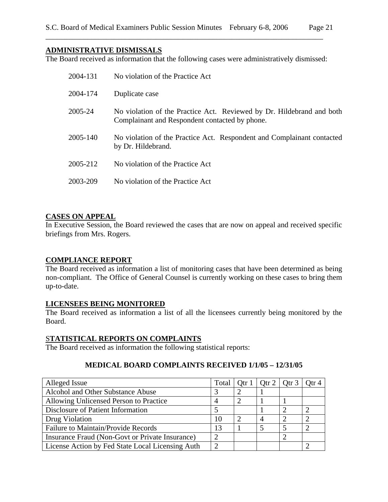#### **ADMINISTRATIVE DISMISSALS**

The Board received as information that the following cases were administratively dismissed:

| 2004-131 | No violation of the Practice Act                                                                                        |
|----------|-------------------------------------------------------------------------------------------------------------------------|
| 2004-174 | Duplicate case                                                                                                          |
| 2005-24  | No violation of the Practice Act. Reviewed by Dr. Hildebrand and both<br>Complainant and Respondent contacted by phone. |
| 2005-140 | No violation of the Practice Act. Respondent and Complainant contacted<br>by Dr. Hildebrand.                            |
| 2005-212 | No violation of the Practice Act                                                                                        |
| 2003-209 | No violation of the Practice Act                                                                                        |

### **CASES ON APPEAL**

In Executive Session, the Board reviewed the cases that are now on appeal and received specific briefings from Mrs. Rogers.

### **COMPLIANCE REPORT**

The Board received as information a list of monitoring cases that have been determined as being non-compliant. The Office of General Counsel is currently working on these cases to bring them up-to-date.

### **LICENSEES BEING MONITORED**

The Board received as information a list of all the licensees currently being monitored by the Board.

#### S**TATISTICAL REPORTS ON COMPLAINTS**

The Board received as information the following statistical reports:

#### **MEDICAL BOARD COMPLAINTS RECEIVED 1/1/05 – 12/31/05**

| Alleged Issue                                    |    | Total   Qtr 1   Qtr 2   Qtr 3   Qtr 4 |  |
|--------------------------------------------------|----|---------------------------------------|--|
| Alcohol and Other Substance Abuse                |    |                                       |  |
| Allowing Unlicensed Person to Practice           |    |                                       |  |
| Disclosure of Patient Information                |    |                                       |  |
| Drug Violation                                   | 10 |                                       |  |
| Failure to Maintain/Provide Records              | 13 |                                       |  |
| Insurance Fraud (Non-Govt or Private Insurance)  |    |                                       |  |
| License Action by Fed State Local Licensing Auth |    |                                       |  |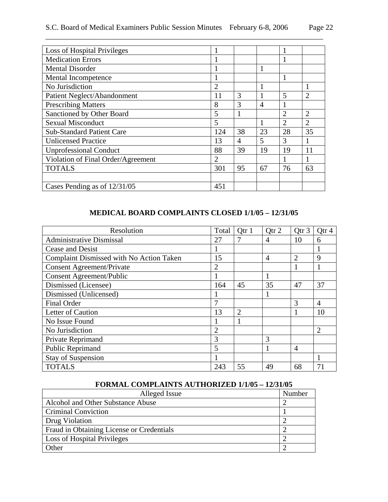| <b>Loss of Hospital Privileges</b> |                |    |    |                |                |
|------------------------------------|----------------|----|----|----------------|----------------|
| <b>Medication Errors</b>           |                |    |    |                |                |
| <b>Mental Disorder</b>             |                |    |    |                |                |
| Mental Incompetence                |                |    |    |                |                |
| No Jurisdiction                    | 2              |    |    |                |                |
| Patient Neglect/Abandonment        | 11             | 3  |    | 5              | $\overline{2}$ |
| <b>Prescribing Matters</b>         | 8              | 3  | 4  |                |                |
| Sanctioned by Other Board          | 5              |    |    | $\overline{2}$ | $\overline{2}$ |
| <b>Sexual Misconduct</b>           | 5              |    |    | $\overline{2}$ | $\overline{2}$ |
| <b>Sub-Standard Patient Care</b>   | 124            | 38 | 23 | 28             | 35             |
| <b>Unlicensed Practice</b>         | 13             | 4  | 5  | 3              |                |
| <b>Unprofessional Conduct</b>      | 88             | 39 | 19 | 19             | 11             |
| Violation of Final Order/Agreement | $\overline{2}$ |    |    |                |                |
| <b>TOTALS</b>                      | 301            | 95 | 67 | 76             | 63             |
|                                    |                |    |    |                |                |
| Cases Pending as of 12/31/05       | 451            |    |    |                |                |

# **MEDICAL BOARD COMPLAINTS CLOSED 1/1/05 – 12/31/05**

| Resolution                               | Total          | Qtr 1          | Qtr 2          | Qtr 3          | Qtr <sub>4</sub> |
|------------------------------------------|----------------|----------------|----------------|----------------|------------------|
| <b>Administrative Dismissal</b>          | 27             |                | 4              | 10             | 6                |
| Cease and Desist                         |                |                |                |                |                  |
| Complaint Dismissed with No Action Taken | 15             |                | $\overline{4}$ | $\overline{2}$ | 9                |
| <b>Consent Agreement/Private</b>         | 2              |                |                |                |                  |
| <b>Consent Agreement/Public</b>          |                |                |                |                |                  |
| Dismissed (Licensee)                     | 164            | 45             | 35             | 47             | 37               |
| Dismissed (Unlicensed)                   |                |                |                |                |                  |
| Final Order                              | 7              |                |                | 3              | $\overline{4}$   |
| Letter of Caution                        | 13             | $\overline{2}$ |                |                | 10               |
| No Issue Found                           |                |                |                |                |                  |
| No Jurisdiction                          | $\overline{2}$ |                |                |                | $\overline{2}$   |
| Private Reprimand                        | 3              |                | 3              |                |                  |
| Public Reprimand                         | 5              |                |                | $\overline{4}$ |                  |
| <b>Stay of Suspension</b>                |                |                |                |                |                  |
| <b>TOTALS</b>                            | 243            | 55             | 49             | 68             | 71               |

# **FORMAL COMPLAINTS AUTHORIZED 1/1/05 – 12/31/05**

| Alleged Issue                             | Number |
|-------------------------------------------|--------|
| Alcohol and Other Substance Abuse         |        |
| <b>Criminal Conviction</b>                |        |
| Drug Violation                            |        |
| Fraud in Obtaining License or Credentials |        |
| Loss of Hospital Privileges               |        |
| <b>Other</b>                              |        |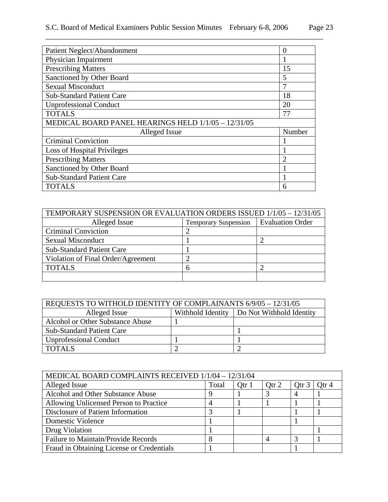| Patient Neglect/Abandonment                         | $\overline{0}$              |
|-----------------------------------------------------|-----------------------------|
| Physician Impairment                                |                             |
| <b>Prescribing Matters</b>                          | 15                          |
| Sanctioned by Other Board                           | 5                           |
| <b>Sexual Misconduct</b>                            | 7                           |
| <b>Sub-Standard Patient Care</b>                    | 18                          |
| <b>Unprofessional Conduct</b>                       | 20                          |
| <b>TOTALS</b>                                       | 77                          |
| MEDICAL BOARD PANEL HEARINGS HELD 1/1/05 - 12/31/05 |                             |
| Alleged Issue                                       | Number                      |
| <b>Criminal Conviction</b>                          |                             |
| Loss of Hospital Privileges                         |                             |
| <b>Prescribing Matters</b>                          | $\mathcal{D}_{\mathcal{L}}$ |
| Sanctioned by Other Board                           |                             |
| <b>Sub-Standard Patient Care</b>                    |                             |
| <b>TOTALS</b>                                       | 6                           |

| TEMPORARY SUSPENSION OR EVALUATION ORDERS ISSUED 1/1/05 - 12/31/05 |                                         |  |  |  |  |  |
|--------------------------------------------------------------------|-----------------------------------------|--|--|--|--|--|
| Alleged Issue                                                      | Temporary Suspension   Evaluation Order |  |  |  |  |  |
| <b>Criminal Conviction</b>                                         |                                         |  |  |  |  |  |
| <b>Sexual Misconduct</b>                                           |                                         |  |  |  |  |  |
| <b>Sub-Standard Patient Care</b>                                   |                                         |  |  |  |  |  |
| Violation of Final Order/Agreement                                 |                                         |  |  |  |  |  |
| <b>TOTALS</b>                                                      | h                                       |  |  |  |  |  |
|                                                                    |                                         |  |  |  |  |  |

| REQUESTS TO WITHOLD IDENTITY OF COMPLAINANTS 6/9/05 - 12/31/05 |  |                                              |  |  |  |
|----------------------------------------------------------------|--|----------------------------------------------|--|--|--|
| Alleged Issue                                                  |  | Withhold Identity   Do Not Withhold Identity |  |  |  |
| Alcohol or Other Substance Abuse                               |  |                                              |  |  |  |
| <b>Sub-Standard Patient Care</b>                               |  |                                              |  |  |  |
| <b>Unprofessional Conduct</b>                                  |  |                                              |  |  |  |
| <b>TOTALS</b>                                                  |  |                                              |  |  |  |

| MEDICAL BOARD COMPLAINTS RECEIVED 1/1/04 - 12/31/04 |       |       |       |         |         |  |
|-----------------------------------------------------|-------|-------|-------|---------|---------|--|
| Alleged Issue                                       | Total | Otr 1 | Otr 2 | Otr $3$ | Otr $4$ |  |
| Alcohol and Other Substance Abuse                   |       |       |       |         |         |  |
| Allowing Unlicensed Person to Practice              |       |       |       |         |         |  |
| Disclosure of Patient Information                   |       |       |       |         |         |  |
| <b>Domestic Violence</b>                            |       |       |       |         |         |  |
| Drug Violation                                      |       |       |       |         |         |  |
| <b>Failure to Maintain/Provide Records</b>          |       |       |       |         |         |  |
| Fraud in Obtaining License or Credentials           |       |       |       |         |         |  |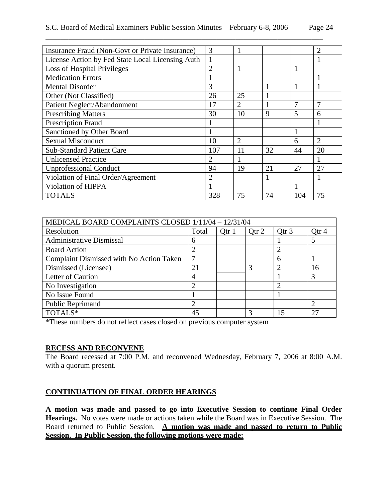| Insurance Fraud (Non-Govt or Private Insurance)  | 3              |                |    |     | $\overline{c}$ |
|--------------------------------------------------|----------------|----------------|----|-----|----------------|
| License Action by Fed State Local Licensing Auth |                |                |    |     |                |
| Loss of Hospital Privileges                      | $\overline{2}$ |                |    |     |                |
| <b>Medication Errors</b>                         |                |                |    |     |                |
| <b>Mental Disorder</b>                           | 3              |                |    |     |                |
| Other (Not Classified)                           | 26             | 25             |    |     |                |
| Patient Neglect/Abandonment                      | 17             | $\overline{2}$ |    | 7   |                |
| <b>Prescribing Matters</b>                       | 30             | 10             | 9  | 5   | 6              |
| <b>Prescription Fraud</b>                        |                |                |    |     |                |
| Sanctioned by Other Board                        |                |                |    |     |                |
| <b>Sexual Misconduct</b>                         | 10             | $\overline{2}$ |    | 6   | $\overline{2}$ |
| <b>Sub-Standard Patient Care</b>                 | 107            | 11             | 32 | 44  | 20             |
| <b>Unlicensed Practice</b>                       | 2              |                |    |     |                |
| <b>Unprofessional Conduct</b>                    | 94             | 19             | 21 | 27  | 27             |
| Violation of Final Order/Agreement               | 2              |                |    |     |                |
| Violation of HIPPA                               |                |                |    |     |                |
| <b>TOTALS</b>                                    | 328            | 75             | 74 | 104 | 75             |

| MEDICAL BOARD COMPLAINTS CLOSED 1/11/04 - 12/31/04 |       |       |       |                  |       |
|----------------------------------------------------|-------|-------|-------|------------------|-------|
| Resolution                                         | Total | Qtr 1 | Otr 2 | Qtr <sub>3</sub> | Otr 4 |
| <b>Administrative Dismissal</b>                    | 6     |       |       |                  |       |
| <b>Board Action</b>                                | 2     |       |       | ◠                |       |
| Complaint Dismissed with No Action Taken           | 7     |       |       | 6                |       |
| Dismissed (Licensee)                               | 21    |       | 3     | $\overline{2}$   | 16    |
| Letter of Caution                                  | 4     |       |       |                  | 3     |
| No Investigation                                   | 2     |       |       |                  |       |
| No Issue Found                                     |       |       |       |                  |       |
| Public Reprimand                                   | 2     |       |       |                  | ി     |
| TOTALS*                                            | 45    |       | 3     |                  |       |

\*These numbers do not reflect cases closed on previous computer system

# **RECESS AND RECONVENE**

The Board recessed at 7:00 P.M. and reconvened Wednesday, February 7, 2006 at 8:00 A.M. with a quorum present.

# **CONTINUATION OF FINAL ORDER HEARINGS**

**A motion was made and passed to go into Executive Session to continue Final Order Hearings.** No votes were made or actions taken while the Board was in Executive Session. The Board returned to Public Session. **A motion was made and passed to return to Public Session. In Public Session, the following motions were made:**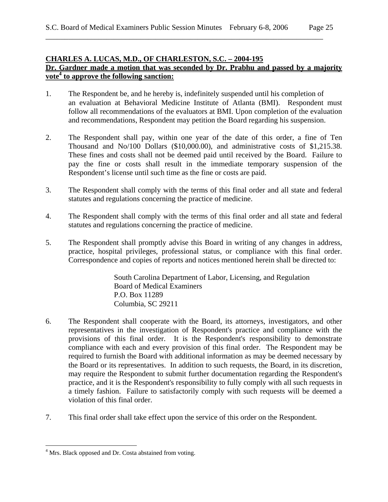# **CHARLES A. LUCAS, M.D., OF CHARLESTON, S.C. – 2004-195 Dr. Gardner made a motion that was seconded by Dr. Prabhu and passed by a majority vote4 to approve the following sanction:**

- 1. The Respondent be, and he hereby is, indefinitely suspended until his completion of an evaluation at Behavioral Medicine Institute of Atlanta (BMI). Respondent must follow all recommendations of the evaluators at BMI. Upon completion of the evaluation and recommendations, Respondent may petition the Board regarding his suspension.
- 2. The Respondent shall pay, within one year of the date of this order, a fine of Ten Thousand and No/100 Dollars (\$10,000.00), and administrative costs of \$1,215.38. These fines and costs shall not be deemed paid until received by the Board. Failure to pay the fine or costs shall result in the immediate temporary suspension of the Respondent's license until such time as the fine or costs are paid.
- 3. The Respondent shall comply with the terms of this final order and all state and federal statutes and regulations concerning the practice of medicine.
- 4. The Respondent shall comply with the terms of this final order and all state and federal statutes and regulations concerning the practice of medicine.
- 5. The Respondent shall promptly advise this Board in writing of any changes in address, practice, hospital privileges, professional status, or compliance with this final order. Correspondence and copies of reports and notices mentioned herein shall be directed to:

South Carolina Department of Labor, Licensing, and Regulation Board of Medical Examiners P.O. Box 11289 Columbia, SC 29211

- 6. The Respondent shall cooperate with the Board, its attorneys, investigators, and other representatives in the investigation of Respondent's practice and compliance with the provisions of this final order. It is the Respondent's responsibility to demonstrate compliance with each and every provision of this final order. The Respondent may be required to furnish the Board with additional information as may be deemed necessary by the Board or its representatives. In addition to such requests, the Board, in its discretion, may require the Respondent to submit further documentation regarding the Respondent's practice, and it is the Respondent's responsibility to fully comply with all such requests in a timely fashion. Failure to satisfactorily comply with such requests will be deemed a violation of this final order.
- 7. This final order shall take effect upon the service of this order on the Respondent.

 4 Mrs. Black opposed and Dr. Costa abstained from voting.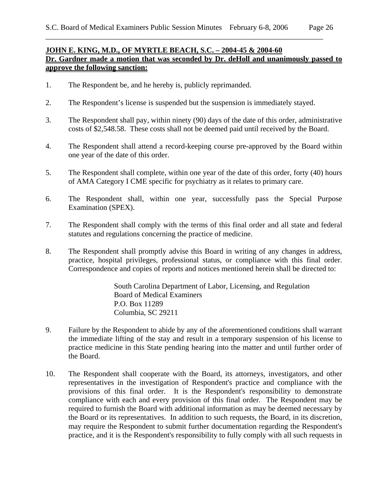### **JOHN E. KING, M.D., OF MYRTLE BEACH, S.C. – 2004-45 & 2004-60 Dr. Gardner made a motion that was seconded by Dr. deHoll and unanimously passed to approve the following sanction:**

- 1. The Respondent be, and he hereby is, publicly reprimanded.
- 2. The Respondent's license is suspended but the suspension is immediately stayed.
- 3. The Respondent shall pay, within ninety (90) days of the date of this order, administrative costs of \$2,548.58. These costs shall not be deemed paid until received by the Board.
- 4. The Respondent shall attend a record-keeping course pre-approved by the Board within one year of the date of this order.
- 5. The Respondent shall complete, within one year of the date of this order, forty (40) hours of AMA Category I CME specific for psychiatry as it relates to primary care.
- 6. The Respondent shall, within one year, successfully pass the Special Purpose Examination (SPEX).
- 7. The Respondent shall comply with the terms of this final order and all state and federal statutes and regulations concerning the practice of medicine.
- 8. The Respondent shall promptly advise this Board in writing of any changes in address, practice, hospital privileges, professional status, or compliance with this final order. Correspondence and copies of reports and notices mentioned herein shall be directed to:

South Carolina Department of Labor, Licensing, and Regulation Board of Medical Examiners P.O. Box 11289 Columbia, SC 29211

- 9. Failure by the Respondent to abide by any of the aforementioned conditions shall warrant the immediate lifting of the stay and result in a temporary suspension of his license to practice medicine in this State pending hearing into the matter and until further order of the Board.
- 10. The Respondent shall cooperate with the Board, its attorneys, investigators, and other representatives in the investigation of Respondent's practice and compliance with the provisions of this final order. It is the Respondent's responsibility to demonstrate compliance with each and every provision of this final order. The Respondent may be required to furnish the Board with additional information as may be deemed necessary by the Board or its representatives. In addition to such requests, the Board, in its discretion, may require the Respondent to submit further documentation regarding the Respondent's practice, and it is the Respondent's responsibility to fully comply with all such requests in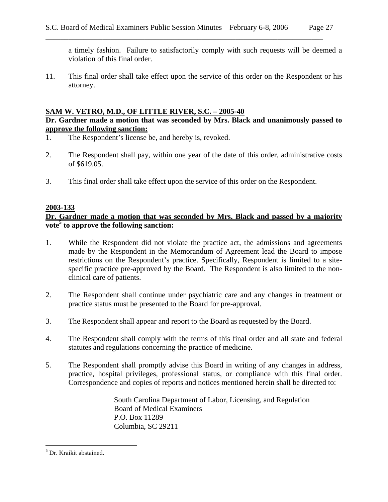a timely fashion. Failure to satisfactorily comply with such requests will be deemed a violation of this final order.

11. This final order shall take effect upon the service of this order on the Respondent or his attorney.

### **SAM W. VETRO, M.D., OF LITTLE RIVER, S.C. – 2005-40**

### **Dr. Gardner made a motion that was seconded by Mrs. Black and unanimously passed to approve the following sanction:**

- 1. The Respondent's license be, and hereby is, revoked.
- 2. The Respondent shall pay, within one year of the date of this order, administrative costs of \$619.05.
- 3. This final order shall take effect upon the service of this order on the Respondent.

### **2003-133**

# **Dr. Gardner made a motion that was seconded by Mrs. Black and passed by a majority vote5 to approve the following sanction:**

- 1. While the Respondent did not violate the practice act, the admissions and agreements made by the Respondent in the Memorandum of Agreement lead the Board to impose restrictions on the Respondent's practice. Specifically, Respondent is limited to a sitespecific practice pre-approved by the Board. The Respondent is also limited to the nonclinical care of patients.
- 2. The Respondent shall continue under psychiatric care and any changes in treatment or practice status must be presented to the Board for pre-approval.
- 3. The Respondent shall appear and report to the Board as requested by the Board.
- 4. The Respondent shall comply with the terms of this final order and all state and federal statutes and regulations concerning the practice of medicine.
- 5. The Respondent shall promptly advise this Board in writing of any changes in address, practice, hospital privileges, professional status, or compliance with this final order. Correspondence and copies of reports and notices mentioned herein shall be directed to:

South Carolina Department of Labor, Licensing, and Regulation Board of Medical Examiners P.O. Box 11289 Columbia, SC 29211

 $\overline{a}$ 

<sup>5</sup> Dr. Kraikit abstained.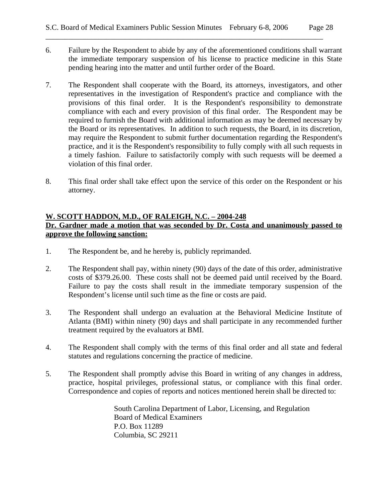- 6. Failure by the Respondent to abide by any of the aforementioned conditions shall warrant the immediate temporary suspension of his license to practice medicine in this State pending hearing into the matter and until further order of the Board.
- 7. The Respondent shall cooperate with the Board, its attorneys, investigators, and other representatives in the investigation of Respondent's practice and compliance with the provisions of this final order. It is the Respondent's responsibility to demonstrate compliance with each and every provision of this final order. The Respondent may be required to furnish the Board with additional information as may be deemed necessary by the Board or its representatives. In addition to such requests, the Board, in its discretion, may require the Respondent to submit further documentation regarding the Respondent's practice, and it is the Respondent's responsibility to fully comply with all such requests in a timely fashion. Failure to satisfactorily comply with such requests will be deemed a violation of this final order.
- 8. This final order shall take effect upon the service of this order on the Respondent or his attorney.

### **W. SCOTT HADDON, M.D., OF RALEIGH, N.C. – 2004-248**

## **Dr. Gardner made a motion that was seconded by Dr. Costa and unanimously passed to approve the following sanction:**

- 1. The Respondent be, and he hereby is, publicly reprimanded.
- 2. The Respondent shall pay, within ninety (90) days of the date of this order, administrative costs of \$379.26.00. These costs shall not be deemed paid until received by the Board. Failure to pay the costs shall result in the immediate temporary suspension of the Respondent's license until such time as the fine or costs are paid.
- 3. The Respondent shall undergo an evaluation at the Behavioral Medicine Institute of Atlanta (BMI) within ninety (90) days and shall participate in any recommended further treatment required by the evaluators at BMI.
- 4. The Respondent shall comply with the terms of this final order and all state and federal statutes and regulations concerning the practice of medicine.
- 5. The Respondent shall promptly advise this Board in writing of any changes in address, practice, hospital privileges, professional status, or compliance with this final order. Correspondence and copies of reports and notices mentioned herein shall be directed to:

South Carolina Department of Labor, Licensing, and Regulation Board of Medical Examiners P.O. Box 11289 Columbia, SC 29211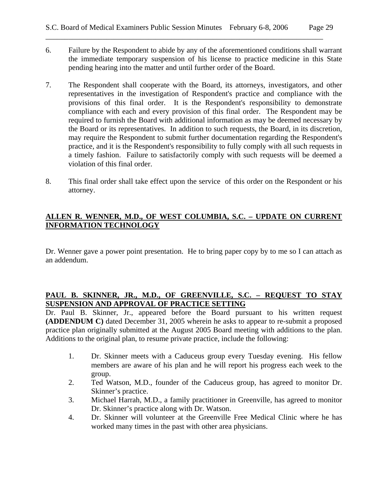- 6. Failure by the Respondent to abide by any of the aforementioned conditions shall warrant the immediate temporary suspension of his license to practice medicine in this State pending hearing into the matter and until further order of the Board.
- 7. The Respondent shall cooperate with the Board, its attorneys, investigators, and other representatives in the investigation of Respondent's practice and compliance with the provisions of this final order. It is the Respondent's responsibility to demonstrate compliance with each and every provision of this final order. The Respondent may be required to furnish the Board with additional information as may be deemed necessary by the Board or its representatives. In addition to such requests, the Board, in its discretion, may require the Respondent to submit further documentation regarding the Respondent's practice, and it is the Respondent's responsibility to fully comply with all such requests in a timely fashion. Failure to satisfactorily comply with such requests will be deemed a violation of this final order.
- 8. This final order shall take effect upon the service of this order on the Respondent or his attorney.

# **ALLEN R. WENNER, M.D., OF WEST COLUMBIA, S.C. – UPDATE ON CURRENT INFORMATION TECHNOLOGY**

Dr. Wenner gave a power point presentation. He to bring paper copy by to me so I can attach as an addendum.

# **PAUL B. SKINNER, JR., M.D., OF GREENVILLE, S.C. – REQUEST TO STAY SUSPENSION AND APPROVAL OF PRACTICE SETTING**

Dr. Paul B. Skinner, Jr., appeared before the Board pursuant to his written request **(ADDENDUM C)** dated December 31, 2005 wherein he asks to appear to re-submit a proposed practice plan originally submitted at the August 2005 Board meeting with additions to the plan. Additions to the original plan, to resume private practice, include the following:

- 1. Dr. Skinner meets with a Caduceus group every Tuesday evening. His fellow members are aware of his plan and he will report his progress each week to the group.
- 2. Ted Watson, M.D., founder of the Caduceus group, has agreed to monitor Dr. Skinner's practice.
- 3. Michael Harrah, M.D., a family practitioner in Greenville, has agreed to monitor Dr. Skinner's practice along with Dr. Watson.
- 4. Dr. Skinner will volunteer at the Greenville Free Medical Clinic where he has worked many times in the past with other area physicians.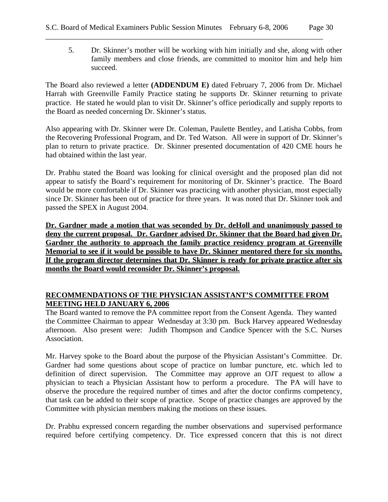5. Dr. Skinner's mother will be working with him initially and she, along with other family members and close friends, are committed to monitor him and help him succeed.

The Board also reviewed a letter **(ADDENDUM E)** dated February 7, 2006 from Dr. Michael Harrah with Greenville Family Practice stating he supports Dr. Skinner returning to private practice. He stated he would plan to visit Dr. Skinner's office periodically and supply reports to the Board as needed concerning Dr. Skinner's status.

Also appearing with Dr. Skinner were Dr. Coleman, Paulette Bentley, and Latisha Cobbs, from the Recovering Professional Program, and Dr. Ted Watson. All were in support of Dr. Skinner's plan to return to private practice. Dr. Skinner presented documentation of 420 CME hours he had obtained within the last year.

Dr. Prabhu stated the Board was looking for clinical oversight and the proposed plan did not appear to satisfy the Board's requirement for monitoring of Dr. Skinner's practice. The Board would be more comfortable if Dr. Skinner was practicing with another physician, most especially since Dr. Skinner has been out of practice for three years. It was noted that Dr. Skinner took and passed the SPEX in August 2004.

**Dr. Gardner made a motion that was seconded by Dr. deHoll and unanimously passed to deny the current proposal. Dr. Gardner advised Dr. Skinner that the Board had given Dr. Gardner the authority to approach the family practice residency program at Greenville Memorial to see if it would be possible to have Dr. Skinner mentored there for six months. If the program director determines that Dr. Skinner is ready for private practice after six months the Board would reconsider Dr. Skinner's proposal.**

# **RECOMMENDATIONS OF THE PHYSICIAN ASSISTANT'S COMMITTEE FROM MEETING HELD JANUARY 6, 2006**

The Board wanted to remove the PA committee report from the Consent Agenda. They wanted the Committee Chairman to appear Wednesday at 3:30 pm. Buck Harvey appeared Wednesday afternoon. Also present were: Judith Thompson and Candice Spencer with the S.C. Nurses Association.

Mr. Harvey spoke to the Board about the purpose of the Physician Assistant's Committee. Dr. Gardner had some questions about scope of practice on lumbar puncture, etc. which led to definition of direct supervision. The Committee may approve an OJT request to allow a physician to teach a Physician Assistant how to perform a procedure. The PA will have to observe the procedure the required number of times and after the doctor confirms competency, that task can be added to their scope of practice. Scope of practice changes are approved by the Committee with physician members making the motions on these issues.

Dr. Prabhu expressed concern regarding the number observations and supervised performance required before certifying competency. Dr. Tice expressed concern that this is not direct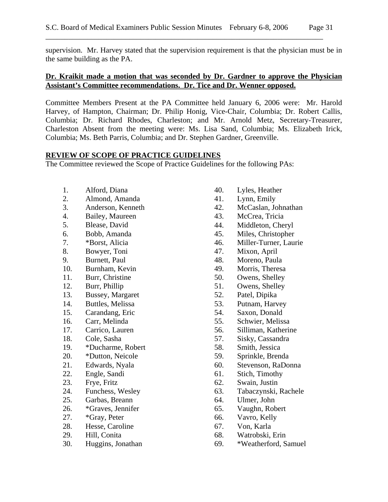supervision. Mr. Harvey stated that the supervision requirement is that the physician must be in the same building as the PA.

#### **Dr. Kraikit made a motion that was seconded by Dr. Gardner to approve the Physician Assistant's Committee recommendations. Dr. Tice and Dr. Wenner opposed.**

Committee Members Present at the PA Committee held January 6, 2006 were: Mr. Harold Harvey, of Hampton, Chairman; Dr. Philip Honig, Vice-Chair, Columbia; Dr. Robert Callis, Columbia; Dr. Richard Rhodes, Charleston; and Mr. Arnold Metz, Secretary-Treasurer, Charleston Absent from the meeting were: Ms. Lisa Sand, Columbia; Ms. Elizabeth Irick, Columbia; Ms. Beth Parris, Columbia; and Dr. Stephen Gardner, Greenville.

### **REVIEW OF SCOPE OF PRACTICE GUIDELINES**

The Committee reviewed the Scope of Practice Guidelines for the following PAs:

- 1. Alford, Diana
- 2. Almond, Amanda
- 3. Anderson, Kenneth
- 4. Bailey, Maureen
- 5. Blease, David
- 6. Bobb, Amanda
- 7. \*Borst, Alicia
- 8. Bowyer, Toni
- 9. Burnett, Paul
- 10. Burnham, Kevin
- 11. Burr, Christine
- 12. Burr, Phillip
- 13. Bussey, Margaret
- 14. Buttles, Melissa
- 15. Carandang, Eric
- 16. Carr, Melinda
- 17. Carrico, Lauren
- 18. Cole, Sasha
- 19. \*Ducharme, Robert
- 20. \*Dutton, Neicole
- 21. Edwards, Nyala
- 22. Engle, Sandi
- 23. Frye, Fritz
- 24. Funchess, Wesley
- 25. Garbas, Breann
- 26. \*Graves, Jennifer
- 27. \*Gray, Peter
- 28. Hesse, Caroline
- 29. Hill, Conita
- 30. Huggins, Jonathan
- 40. Lyles, Heather
- 41. Lynn, Emily
- 42. McCaslan, Johnathan
- 43. McCrea, Tricia
- 44. Middleton, Cheryl
- 45. Miles, Christopher
- 46. Miller-Turner, Laurie
- 47. Mixon, April
- 48. Moreno, Paula
- 49. Morris, Theresa
- 50. Owens, Shelley
- 51. Owens, Shelley
- 52. Patel, Dipika
- 53. Putnam, Harvey
- 54. Saxon, Donald
- 55. Schwier, Melissa
- 56. Silliman, Katherine
- 57. Sisky, Cassandra
- 58. Smith, Jessica
- 59. Sprinkle, Brenda
- 60. Stevenson, RaDonna
- 61. Stich, Timothy
- 62. Swain, Justin
- 63. Tabaczynski, Rachele
- 64. Ulmer, John
- 65. Vaughn, Robert
- 66. Vavro, Kelly
- 67. Von, Karla
- 68. Watrobski, Erin
- 69. \*Weatherford, Samuel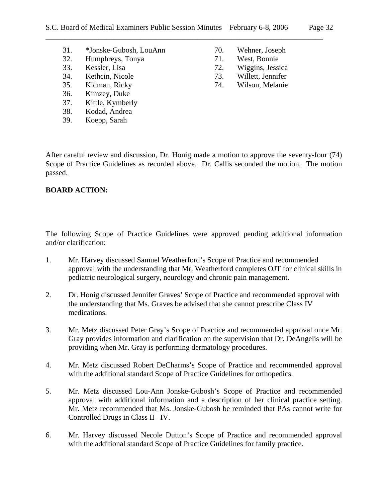- 31. \*Jonske-Gubosh, LouAnn
- 32. Humphreys, Tonya
- 33. Kessler, Lisa
- 34. Kethcin, Nicole
- 35. Kidman, Ricky
- 36. Kimzey, Duke
- 37. Kittle, Kymberly
- 38. Kodad, Andrea
- 39. Koepp, Sarah
- 70. Wehner, Joseph
- 71. West, Bonnie
- 72. Wiggins, Jessica
- 73. Willett, Jennifer
- 74. Wilson, Melanie

After careful review and discussion, Dr. Honig made a motion to approve the seventy-four (74) Scope of Practice Guidelines as recorded above. Dr. Callis seconded the motion. The motion passed.

### **BOARD ACTION:**

The following Scope of Practice Guidelines were approved pending additional information and/or clarification:

- 1. Mr. Harvey discussed Samuel Weatherford's Scope of Practice and recommended approval with the understanding that Mr. Weatherford completes OJT for clinical skills in pediatric neurological surgery, neurology and chronic pain management.
- 2. Dr. Honig discussed Jennifer Graves' Scope of Practice and recommended approval with the understanding that Ms. Graves be advised that she cannot prescribe Class IV medications.
- 3. Mr. Metz discussed Peter Gray's Scope of Practice and recommended approval once Mr. Gray provides information and clarification on the supervision that Dr. DeAngelis will be providing when Mr. Gray is performing dermatology procedures.
- 4. Mr. Metz discussed Robert DeCharms's Scope of Practice and recommended approval with the additional standard Scope of Practice Guidelines for orthopedics.
- 5. Mr. Metz discussed Lou-Ann Jonske-Gubosh's Scope of Practice and recommended approval with additional information and a description of her clinical practice setting. Mr. Metz recommended that Ms. Jonske-Gubosh be reminded that PAs cannot write for Controlled Drugs in Class II –IV.
- 6. Mr. Harvey discussed Necole Dutton's Scope of Practice and recommended approval with the additional standard Scope of Practice Guidelines for family practice.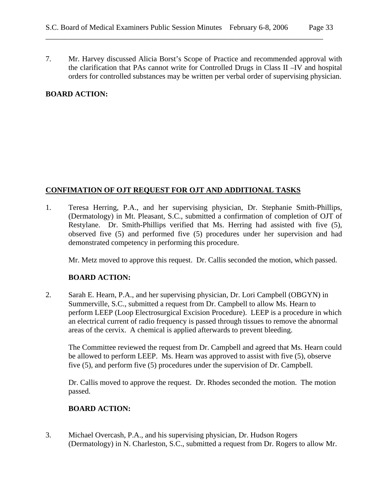7. Mr. Harvey discussed Alicia Borst's Scope of Practice and recommended approval with the clarification that PAs cannot write for Controlled Drugs in Class II –IV and hospital orders for controlled substances may be written per verbal order of supervising physician.

### **BOARD ACTION:**

### **CONFIMATION OF OJT REQUEST FOR OJT AND ADDITIONAL TASKS**

1. Teresa Herring, P.A., and her supervising physician, Dr. Stephanie Smith-Phillips, (Dermatology) in Mt. Pleasant, S.C., submitted a confirmation of completion of OJT of Restylane. Dr. Smith-Phillips verified that Ms. Herring had assisted with five (5), observed five (5) and performed five (5) procedures under her supervision and had demonstrated competency in performing this procedure.

Mr. Metz moved to approve this request. Dr. Callis seconded the motion, which passed.

# **BOARD ACTION:**

2. Sarah E. Hearn, P.A., and her supervising physician, Dr. Lori Campbell (OBGYN) in Summerville, S.C., submitted a request from Dr. Campbell to allow Ms. Hearn to perform LEEP (Loop Electrosurgical Excision Procedure). LEEP is a procedure in which an electrical current of radio frequency is passed through tissues to remove the abnormal areas of the cervix. A chemical is applied afterwards to prevent bleeding.

The Committee reviewed the request from Dr. Campbell and agreed that Ms. Hearn could be allowed to perform LEEP. Ms. Hearn was approved to assist with five (5), observe five (5), and perform five (5) procedures under the supervision of Dr. Campbell.

Dr. Callis moved to approve the request. Dr. Rhodes seconded the motion. The motion passed.

### **BOARD ACTION:**

3. Michael Overcash, P.A., and his supervising physician, Dr. Hudson Rogers (Dermatology) in N. Charleston, S.C., submitted a request from Dr. Rogers to allow Mr.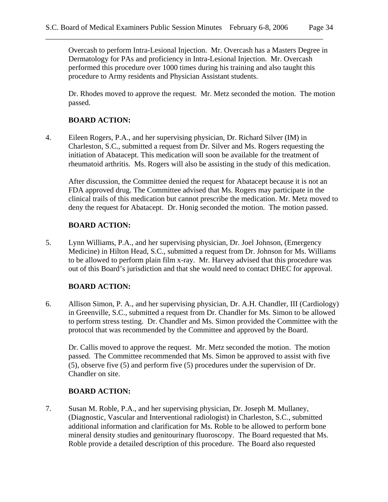Overcash to perform Intra-Lesional Injection. Mr. Overcash has a Masters Degree in Dermatology for PAs and proficiency in Intra-Lesional Injection. Mr. Overcash performed this procedure over 1000 times during his training and also taught this procedure to Army residents and Physician Assistant students.

Dr. Rhodes moved to approve the request. Mr. Metz seconded the motion. The motion passed.

## **BOARD ACTION:**

4. Eileen Rogers, P.A., and her supervising physician, Dr. Richard Silver (IM) in Charleston, S.C., submitted a request from Dr. Silver and Ms. Rogers requesting the initiation of Abatacept. This medication will soon be available for the treatment of rheumatoid arthritis. Ms. Rogers will also be assisting in the study of this medication.

After discussion, the Committee denied the request for Abatacept because it is not an FDA approved drug. The Committee advised that Ms. Rogers may participate in the clinical trails of this medication but cannot prescribe the medication. Mr. Metz moved to deny the request for Abatacept. Dr. Honig seconded the motion. The motion passed.

### **BOARD ACTION:**

5. Lynn Williams, P.A., and her supervising physician, Dr. Joel Johnson, (Emergency Medicine) in Hilton Head, S.C., submitted a request from Dr. Johnson for Ms. Williams to be allowed to perform plain film x-ray. Mr. Harvey advised that this procedure was out of this Board's jurisdiction and that she would need to contact DHEC for approval.

### **BOARD ACTION:**

6. Allison Simon, P. A., and her supervising physician, Dr. A.H. Chandler, III (Cardiology) in Greenville, S.C., submitted a request from Dr. Chandler for Ms. Simon to be allowed to perform stress testing. Dr. Chandler and Ms. Simon provided the Committee with the protocol that was recommended by the Committee and approved by the Board.

Dr. Callis moved to approve the request. Mr. Metz seconded the motion. The motion passed. The Committee recommended that Ms. Simon be approved to assist with five (5), observe five (5) and perform five (5) procedures under the supervision of Dr. Chandler on site.

### **BOARD ACTION:**

7. Susan M. Roble, P.A., and her supervising physician, Dr. Joseph M. Mullaney, (Diagnostic, Vascular and Interventional radiologist) in Charleston, S.C., submitted additional information and clarification for Ms. Roble to be allowed to perform bone mineral density studies and genitourinary fluoroscopy. The Board requested that Ms. Roble provide a detailed description of this procedure. The Board also requested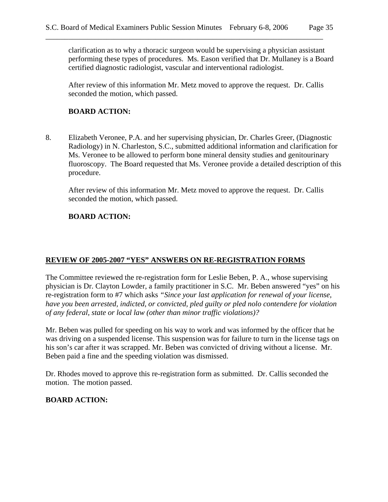clarification as to why a thoracic surgeon would be supervising a physician assistant performing these types of procedures. Ms. Eason verified that Dr. Mullaney is a Board certified diagnostic radiologist, vascular and interventional radiologist.

After review of this information Mr. Metz moved to approve the request. Dr. Callis seconded the motion, which passed.

### **BOARD ACTION:**

8. Elizabeth Veronee, P.A. and her supervising physician, Dr. Charles Greer, (Diagnostic Radiology) in N. Charleston, S.C., submitted additional information and clarification for Ms. Veronee to be allowed to perform bone mineral density studies and genitourinary fluoroscopy. The Board requested that Ms. Veronee provide a detailed description of this procedure.

 After review of this information Mr. Metz moved to approve the request. Dr. Callis seconded the motion, which passed.

### **BOARD ACTION:**

### **REVIEW OF 2005-2007 "YES" ANSWERS ON RE-REGISTRATION FORMS**

The Committee reviewed the re-registration form for Leslie Beben, P. A., whose supervising physician is Dr. Clayton Lowder, a family practitioner in S.C. Mr. Beben answered "yes" on his re-registration form to #7 which asks *"Since your last application for renewal of your license, have you been arrested, indicted, or convicted, pled guilty or pled nolo contendere for violation of any federal, state or local law (other than minor traffic violations)?* 

Mr. Beben was pulled for speeding on his way to work and was informed by the officer that he was driving on a suspended license. This suspension was for failure to turn in the license tags on his son's car after it was scrapped. Mr. Beben was convicted of driving without a license. Mr. Beben paid a fine and the speeding violation was dismissed.

Dr. Rhodes moved to approve this re-registration form as submitted. Dr. Callis seconded the motion. The motion passed.

### **BOARD ACTION:**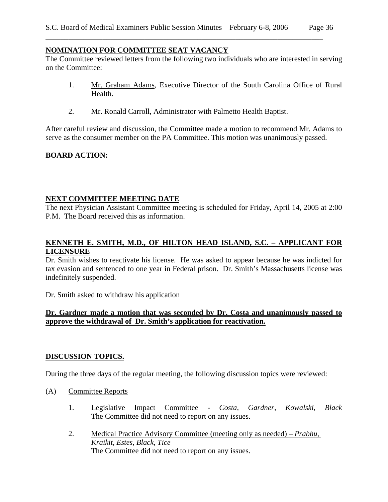#### **NOMINATION FOR COMMITTEE SEAT VACANCY**

The Committee reviewed letters from the following two individuals who are interested in serving on the Committee:

- 1. Mr. Graham Adams, Executive Director of the South Carolina Office of Rural Health.
- 2. Mr. Ronald Carroll, Administrator with Palmetto Health Baptist.

After careful review and discussion, the Committee made a motion to recommend Mr. Adams to serve as the consumer member on the PA Committee. This motion was unanimously passed.

### **BOARD ACTION:**

### **NEXT COMMITTEE MEETING DATE**

The next Physician Assistant Committee meeting is scheduled for Friday, April 14, 2005 at 2:00 P.M. The Board received this as information.

# **KENNETH E. SMITH, M.D., OF HILTON HEAD ISLAND, S.C. – APPLICANT FOR LICENSURE**

Dr. Smith wishes to reactivate his license. He was asked to appear because he was indicted for tax evasion and sentenced to one year in Federal prison. Dr. Smith's Massachusetts license was indefinitely suspended.

Dr. Smith asked to withdraw his application

### **Dr. Gardner made a motion that was seconded by Dr. Costa and unanimously passed to approve the withdrawal of Dr. Smith's application for reactivation.**

### **DISCUSSION TOPICS.**

During the three days of the regular meeting, the following discussion topics were reviewed:

- (A) Committee Reports
	- 1. Legislative Impact Committee *Costa, Gardner, Kowalski, Black* The Committee did not need to report on any issues.
	- 2. Medical Practice Advisory Committee (meeting only as needed) *Prabhu, Kraikit, Estes, Black, Tice* The Committee did not need to report on any issues.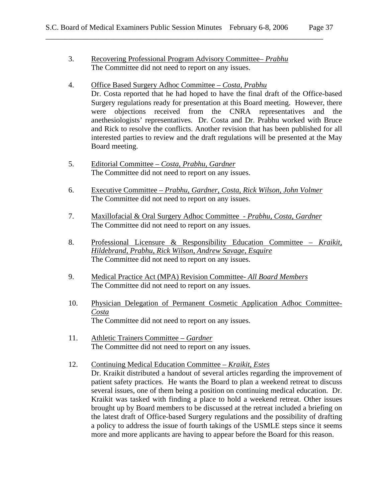- 3. Recovering Professional Program Advisory Committee– *Prabhu* The Committee did not need to report on any issues.
- 4. Office Based Surgery Adhoc Committee *Costa, Prabhu*

 Dr. Costa reported that he had hoped to have the final draft of the Office-based Surgery regulations ready for presentation at this Board meeting. However, there were objections received from the CNRA representatives and the anethesiologists' representatives. Dr. Costa and Dr. Prabhu worked with Bruce and Rick to resolve the conflicts. Another revision that has been published for all interested parties to review and the draft regulations will be presented at the May Board meeting.

- 5. Editorial Committee *Costa, Prabhu, Gardner* The Committee did not need to report on any issues.
- 6. Executive Committee *Prabhu, Gardner, Costa, Rick Wilson, John Volmer* The Committee did not need to report on any issues.
- 7. Maxillofacial & Oral Surgery Adhoc Committee *Prabhu, Costa, Gardner* The Committee did not need to report on any issues.
- 8. Professional Licensure & Responsibility Education Committee *Kraikit, Hildebrand, Prabhu, Rick Wilson, Andrew Savage, Esquire* The Committee did not need to report on any issues.
- 9. Medical Practice Act (MPA) Revision Committee- *All Board Members* The Committee did not need to report on any issues.
- 10. Physician Delegation of Permanent Cosmetic Application Adhoc Committee-*Costa* The Committee did not need to report on any issues.
- 11. Athletic Trainers Committee *Gardner* The Committee did not need to report on any issues.
- 12. Continuing Medical Education Committee *Kraikit, Estes*  Dr. Kraikit distributed a handout of several articles regarding the improvement of patient safety practices. He wants the Board to plan a weekend retreat to discuss several issues, one of them being a position on continuing medical education. Dr. Kraikit was tasked with finding a place to hold a weekend retreat. Other issues brought up by Board members to be discussed at the retreat included a briefing on the latest draft of Office-based Surgery regulations and the possibility of drafting a policy to address the issue of fourth takings of the USMLE steps since it seems more and more applicants are having to appear before the Board for this reason.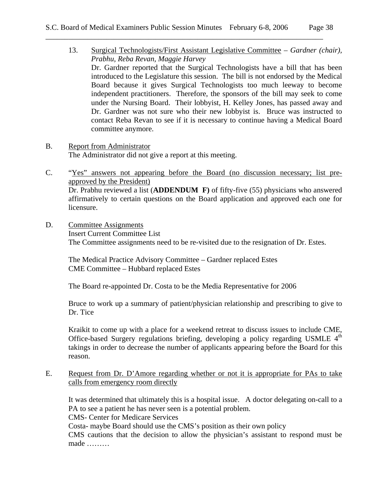- 13. Surgical Technologists/First Assistant Legislative Committee *Gardner (chair), Prabhu, Reba Revan, Maggie Harvey*  Dr. Gardner reported that the Surgical Technologists have a bill that has been introduced to the Legislature this session. The bill is not endorsed by the Medical Board because it gives Surgical Technologists too much leeway to become independent practitioners. Therefore, the sponsors of the bill may seek to come under the Nursing Board. Their lobbyist, H. Kelley Jones, has passed away and Dr. Gardner was not sure who their new lobbyist is. Bruce was instructed to contact Reba Revan to see if it is necessary to continue having a Medical Board committee anymore.
- B. Report from Administrator The Administrator did not give a report at this meeting.
- C. "Yes" answers not appearing before the Board (no discussion necessary; list preapproved by the President) Dr. Prabhu reviewed a list (**ADDENDUM F)** of fifty-five (55) physicians who answered affirmatively to certain questions on the Board application and approved each one for licensure.
- D. Committee Assignments Insert Current Committee List The Committee assignments need to be re-visited due to the resignation of Dr. Estes.

 The Medical Practice Advisory Committee – Gardner replaced Estes CME Committee – Hubbard replaced Estes

The Board re-appointed Dr. Costa to be the Media Representative for 2006

Bruce to work up a summary of patient/physician relationship and prescribing to give to Dr. Tice

Kraikit to come up with a place for a weekend retreat to discuss issues to include CME, Office-based Surgery regulations briefing, developing a policy regarding USMLE  $4<sup>th</sup>$ takings in order to decrease the number of applicants appearing before the Board for this reason.

E. Request from Dr. D'Amore regarding whether or not it is appropriate for PAs to take calls from emergency room directly

It was determined that ultimately this is a hospital issue. A doctor delegating on-call to a PA to see a patient he has never seen is a potential problem.

CMS- Center for Medicare Services

Costa- maybe Board should use the CMS's position as their own policy

CMS cautions that the decision to allow the physician's assistant to respond must be made ………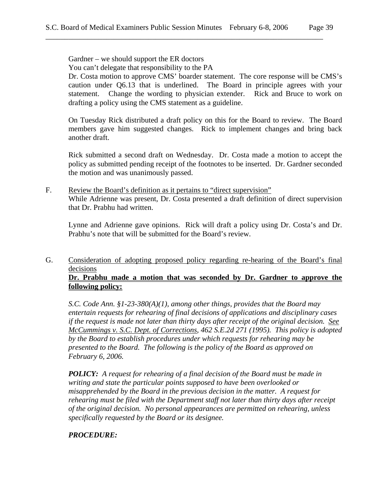Gardner – we should support the ER doctors

You can't delegate that responsibility to the PA

Dr. Costa motion to approve CMS' boarder statement. The core response will be CMS's caution under Q6.13 that is underlined. The Board in principle agrees with your statement. Change the wording to physician extender. Rick and Bruce to work on drafting a policy using the CMS statement as a guideline.

On Tuesday Rick distributed a draft policy on this for the Board to review. The Board members gave him suggested changes. Rick to implement changes and bring back another draft.

Rick submitted a second draft on Wednesday. Dr. Costa made a motion to accept the policy as submitted pending receipt of the footnotes to be inserted. Dr. Gardner seconded the motion and was unanimously passed.

F. Review the Board's definition as it pertains to "direct supervision" While Adrienne was present, Dr. Costa presented a draft definition of direct supervision that Dr. Prabhu had written.

Lynne and Adrienne gave opinions. Rick will draft a policy using Dr. Costa's and Dr. Prabhu's note that will be submitted for the Board's review.

# G. Consideration of adopting proposed policy regarding re-hearing of the Board's final decisions **Dr. Prabhu made a motion that was seconded by Dr. Gardner to approve the following policy:**

*S.C. Code Ann. §1-23-380(A)(1), among other things, provides that the Board may entertain requests for rehearing of final decisions of applications and disciplinary cases if the request is made not later than thirty days after receipt of the original decision. See McCummings v. S.C. Dept. of Corrections, 462 S.E.2d 271 (1995). This policy is adopted by the Board to establish procedures under which requests for rehearing may be presented to the Board. The following is the policy of the Board as approved on February 6, 2006.* 

*POLICY: A request for rehearing of a final decision of the Board must be made in writing and state the particular points supposed to have been overlooked or misapprehended by the Board in the previous decision in the matter. A request for rehearing must be filed with the Department staff not later than thirty days after receipt of the original decision. No personal appearances are permitted on rehearing, unless specifically requested by the Board or its designee.* 

# *PROCEDURE:*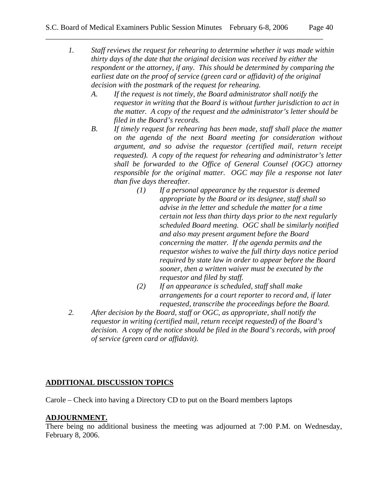- *1. Staff reviews the request for rehearing to determine whether it was made within thirty days of the date that the original decision was received by either the respondent or the attorney, if any. This should be determined by comparing the earliest date on the proof of service (green card or affidavit) of the original decision with the postmark of the request for rehearing.* 
	- *A. If the request is not timely, the Board administrator shall notify the requestor in writing that the Board is without further jurisdiction to act in the matter. A copy of the request and the administrator's letter should be filed in the Board's records.*
	- *B. If timely request for rehearing has been made, staff shall place the matter on the agenda of the next Board meeting for consideration without argument, and so advise the requestor (certified mail, return receipt requested). A copy of the request for rehearing and administrator's letter shall be forwarded to the Office of General Counsel (OGC) attorney responsible for the original matter. OGC may file a response not later than five days thereafter.* 
		- *(1) If a personal appearance by the requestor is deemed appropriate by the Board or its designee, staff shall so advise in the letter and schedule the matter for a time certain not less than thirty days prior to the next regularly scheduled Board meeting. OGC shall be similarly notified and also may present argument before the Board concerning the matter. If the agenda permits and the requestor wishes to waive the full thirty days notice period required by state law in order to appear before the Board sooner, then a written waiver must be executed by the requestor and filed by staff.*
		- *(2) If an appearance is scheduled, staff shall make arrangements for a court reporter to record and, if later requested, transcribe the proceedings before the Board.*
- *2. After decision by the Board, staff or OGC, as appropriate, shall notify the requestor in writing (certified mail, return receipt requested) of the Board's decision. A copy of the notice should be filed in the Board's records, with proof of service (green card or affidavit).*

# **ADDITIONAL DISCUSSION TOPICS**

Carole – Check into having a Directory CD to put on the Board members laptops

# **ADJOURNMENT.**

There being no additional business the meeting was adjourned at 7:00 P.M. on Wednesday, February 8, 2006.